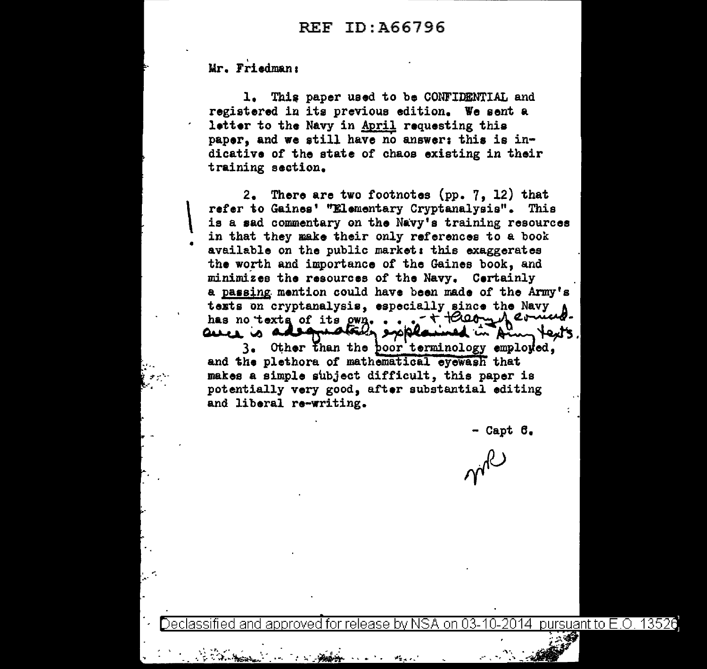Mr. Friedman:

•

1. This paper used to be CONFIDENTIAL and registered in its previous edition. We sent a letter to the Navy in April requesting this paper, and we still have no answer: this is indicative or the state or chaos existing in their training section.

 $\vert$ 2. There are two footnotes (pp. 7, 12) that refer to Gaines' ''Elementary Cryptanalysis". This is a sad commentary on the Navy's training resources in that they make their only references to a book available on the public market: this exaggerates the worth and importance of the Gaines book, and minimizes the resources of the Navy. Certainly a passing mention could have been made of the Army's texts on cryptanalysis, especially since the Navy<br>has no texts of its own.... + + + 000mml ermed. has no\_·text, or its *#!''¥).•* ••• - 't", ~ ll.~u. ... has no texts of its own.<br>and the proplement in Am lexts.<br>3. Other than the coor terminology employed,

3. Other than the <u>boor terminology</u> employed,<br>and the plethora of mathematical eyewash that makes a simple subject difficult, this paper is potentially very good, after substantial editing and liberal re-writing.

- Capt 6.

pursuant to E.O. 13526 for release by NSA on 03-10-2014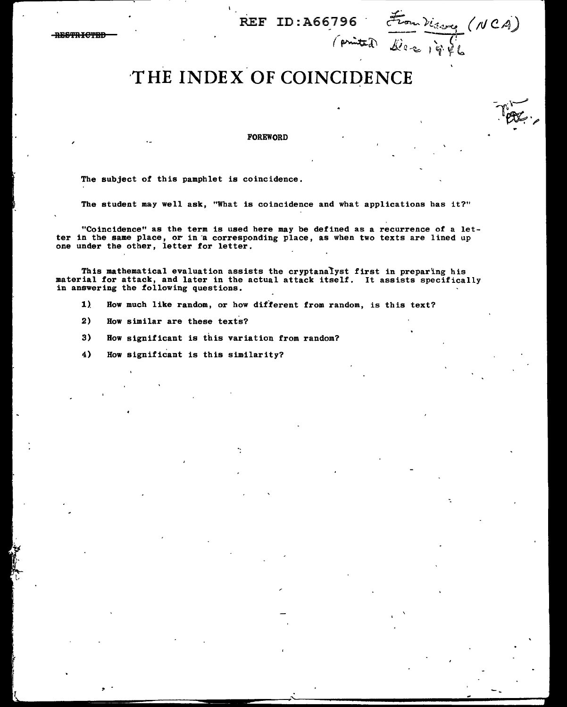REF ID:A66796 .

 $($  printed)

--

RESTRIGTER

# **·THE INDEX OF COINCIDENCE**

FOREWORD

The subject of this pamphlet is coincidence.

The student may well ask, "What is coincidence and what applications has it?"

"Coincidence" as the term is used here may be defined as a recurrence of a letter in the same place, or in a corresponding place, as when two texts are lined up one under the other, letter for letter.

This mathematical evaluation assists the cryptanalyst first in preparing his material for attack, and later in the actual attack itself. It assists specifically in answering the following questions.

- 1) How much like random, or how different from random, is this text?
- 2) How similar are these texts?
- 3) How significant is this variation from random?
- 4) How significant is this similarity?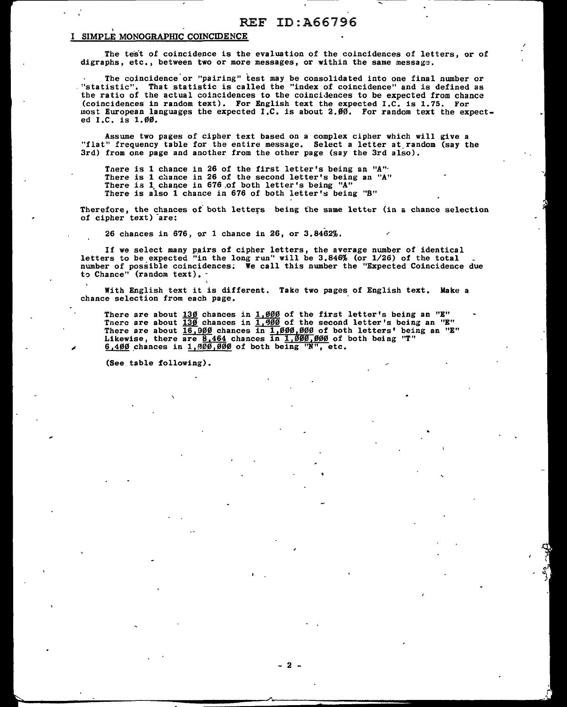# REF ID:A66796 \

# SIMPLE MONOGRAPHIC COINCIDENCE

The test of coincidence is the evaluation of the coincidences of letters, or of digraphs, etc., between two or more messages, or within the same message.

The coincidence or "pairing" test may be consolidated into one final number or<br>"statistic". That statistic is called the "index of coincidence" and is defined as<br>the ratio of the actual coincidences to the coincidences to (coincidences in random text). For English text the expected I.C. is 1.75. For most European languages the expected  $I.C.$  is about  $2.99$ . For random text the expected I.C. is 1.00.

Assume two pages of cipher text based on a complex cipher which will give a "flat" frequency table for the entire message. Select a letter at random (say the 3rd) from one page and another from the other page (say the 3rd also).

There is 1 chance in 26 of the first letter's being an "A" There is 1 chance in 26 of the second letter's being an "A" There is 1 chance in 676 of both letter's being "A" There is also 1 chance in 676 of both letter's being "B"

Therefore, the chances of both letters being the same letter (in a chance selection of cipher text) -are:

26 chances in 676, or 1 chance in 26, or 3.8462%.

If we select many pairs of cipher letters, the average number of identical letters to be expected "in the long run" will be 3,846% (or 1/26) of the total number of possible coincidences; We call this number the "Expected Coincidence due to Chance" (random text). -

With English text it is different. Take two pages of English text. Make a chance selection from each page.

There are about  $\frac{130}{100}$  chances in  $\frac{1.000}{100}$  of the first letter's being an "E" There are about  $\frac{139}{130}$  chances in  $\frac{1,999}{1,990}$  of the second letter's being an "E" There are about  $\frac{16}{16}$ ,  $900$  chances in  $\frac{1,996}{1,000}$ ,  $000$  of both letters' being an "E" Likewise, there are  $8.464$  chances in  $1.000$ , 000 of both being "T"  $6,400$  chances in 1,  $900,000$  of both being "N", etc.

(See table following).

- 2 -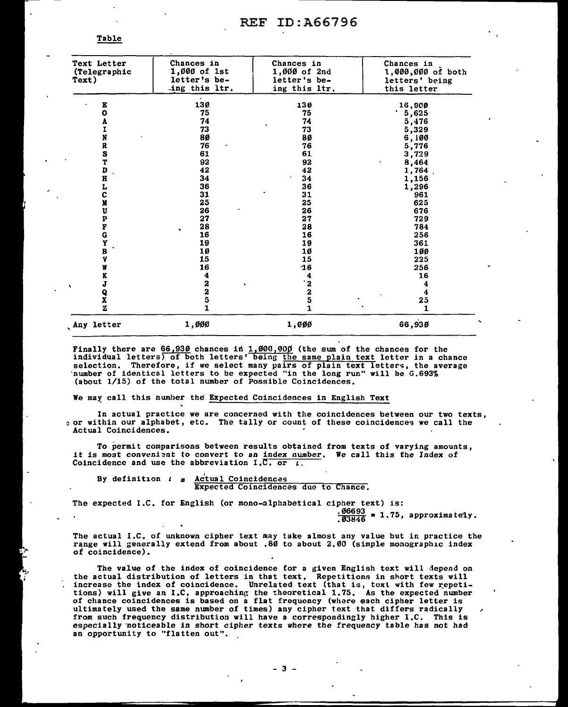Table

| Any letter    | 1,000                      | 1,000                      | 66,930                         |
|---------------|----------------------------|----------------------------|--------------------------------|
| Z             | 1                          | 1                          | 1                              |
| X             | 5                          | 2<br>5                     | 25                             |
| Q             | 2                          |                            | 4                              |
| J             | $\mathbf 2$                | $\frac{4}{2}$              | 4                              |
| K             | 4                          |                            | 16                             |
| W             | 16                         | 16                         | 256                            |
| V             | 15                         | 15                         | 225                            |
| <b>UPFGYB</b> | 10                         | 10                         | 100                            |
|               | 19                         | 19                         | 361                            |
|               | 16                         | 16                         | 256                            |
|               | 28                         | 28                         | 784                            |
|               | 27                         | 27                         | 729                            |
|               | 26                         | 26                         | 676                            |
| C<br>M        | 25                         | 25                         | 625                            |
|               | 31                         | 31                         | 961                            |
| H<br>L        | 36                         | 36                         | 1,296                          |
|               | 34                         | 34                         | 1,156                          |
| D             | 42                         | 42                         | 1,764                          |
| T             | 92                         | 92                         | 3,729<br>8,464<br>$\mathbf{v}$ |
| S             | 61                         | 61                         | 5,776                          |
| $\pmb{R}$     | 76                         | 76                         |                                |
| N             | 80                         | 80                         | 5,329<br>6,100                 |
| I             | 73                         | 73                         |                                |
| A             | 74                         | 74                         | 5,476                          |
| E<br>o        | 130<br>75                  | 130<br>75                  | 16,900<br>5,625                |
|               | ing this ltr.<br>$\cdot$   | ing this ltr.              | this letter                    |
| Text)         |                            |                            | letters' being                 |
| (Telegraphic  | letter's be-               | letter's be-               | 1,000,000 of both              |
| Text Letter   | Chances in<br>1,000 of 1st | Chances in<br>1,000 of 2nd | Chances in                     |

Finally there are 66,930 chances in 1,000,000 (the sum of the chances for the individual letters) of both letters' being <u>the same plain text</u> letter in a chance selection. Therefore, if we select many pairs of plain text letters, the average ·number of identical letters to be expected "in the long run" will be G.693% (about 1/15) of the total number of Possible Coincidences,

We may call this number the Expected Coincidences in English Text

In actual practice we are concerned with the coincidences between our two texts, or within our alphabet, etc. The tally or count of these coincidences we call the Actual Coincidences.

To permit comparisons between results obtained from texts of varying amounts, it is most convenient to convert to an index number. We call this the Index of Coincidence and use the abbreviation  $I.C.$  or  $I.$ 

By definition  $l = \frac{Actual \: Coincidences}{\text{Expected Concidences}}$ Expected Coincidences due to Chance.

The expected I.C. for English (or mono-alphabetical cipher text) is:

 $\frac{66693}{63846}$  = 1.75, approximately.

The actual I.C. of unknown cipher text may take almost any value but in practice the range will generally extend from about .80 to about 2.00 (simple monographic index of coincidence).

The value of the index of coincidence for a given English text will depend on the actual distribution of letters in that text. Repetitions in short texts will increase the index of coincidence. Unrelated text (that is, text with few repetitions) will give an I.C. approaching the theoretical 1.75. As the expected number of chance coincidences is based on a flat frequency (where each cipher letter is ultimately used the same number of times) any cipher text that differs radically from such frequency distribution will have a correspondingly higher I.C. This is especially noticeable in short cipher texts where the frequency table has not had an opportunity to "flatten out".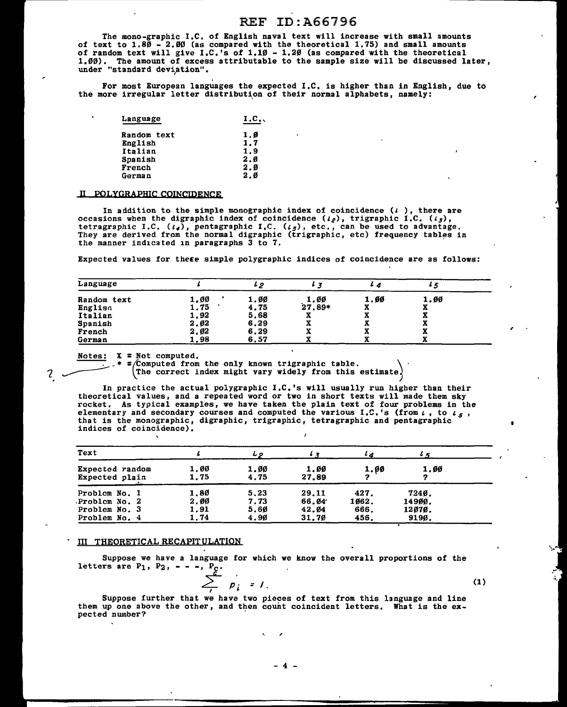The mono-graphic I,C, of English naval text will increase with small amounts of text to  $1.80 - 2.00$  (as compared with the theoretical 1.75) and small amounts of random text will give I.C.'s of 1,10 - 1.20 (as compared with the theoretical 1,00). The amount of excess attributable to the sample size will be discussed later, under "standard deviation".

For most European languages the expected I.C, is higher than in English, due to the more irregular letter distribution of their normal alphabets, namely:

| Language           | I.C. |
|--------------------|------|
| <b>Random text</b> | 1.Ø  |
| English            | 1.7  |
| Italian            | 1.9  |
| Spanish            | 2.0  |
| French             | 2.0  |
| German             | 2.0  |
|                    |      |

### II POLYGRAPHIC COINCIDENCE

In addition to the simple monographic index of coincidence  $(1)$ , there are occasions when the digraphic index of coincidence  $(l_2)$ , trigraphic I.C.  $(l_3)$ , tetragraphic I.C.  $(t_4)$ , pentagraphic I.C.  $(t_5)$ , etc., can be used to advantage. They are derived from the normal digraphic (trigraphic, etc) frequency tables in the manner indicated in paragraphs 3 to 7.

Expected values for these simple polygraphic indices of coincidence are as follows:

| Language           |      | ı p  |          |      |      |
|--------------------|------|------|----------|------|------|
| <b>Random text</b> | 1.00 | 1.00 | 1.00     | 1.00 | 1.00 |
| Englisa            | 1.75 | 4.75 | $27.89*$ | æ    | А    |
| Italian            | 1.92 | 5.68 | 43.      |      | x    |
| Spanish            | 2.Ø2 | 6.29 |          |      | x    |
| French             | 2.02 | 6.29 |          |      | А    |
| German             | 1.98 | 6,57 |          |      |      |

7.

Notes:  $X = Not$  computed.<br>\* = Computed from the only known trigraphic table. ~ \* =(.Computed from the only known trigraphic table. \ 'The correct index might vary widely from this estimate'

In practice the actual polygraphic I.C,'s will usually run higher than their theoretical values, and a repeated word or two in short texts will made them sky rocket. As typical examples, we have taken the plain text of four problems in the elementary and secondary courses and computed the various I .c. 's (from *t* , to *t 5* , that is the monographic, digraphic, trigraphic, tetragraphic and pentagraphic indices of coincidence).

| Text                                                             |                              | しっ                           |                                  | $\iota$                       | 4.5                                |
|------------------------------------------------------------------|------------------------------|------------------------------|----------------------------------|-------------------------------|------------------------------------|
| Expected random<br><b>Expected plain</b>                         | 1.00<br>1.75                 | 1.00<br>4.75                 | 1.00<br>27.89                    | 1.ØØ                          | 1.00                               |
| Problem No. 1<br>Problem No. 2<br>Problem No. 3<br>Problem No. 4 | 1.80<br>2.00<br>1,91<br>1.74 | 5.23<br>7.73<br>5.60<br>4.90 | 29.11<br>66.04<br>42.04<br>31.70 | 427.<br>1062.<br>666.<br>456. | 7240.<br>14900.<br>12070.<br>9190. |

#### III THEORETICAL RECAPITULATION

Suppose we have a language for which we know the overall proportions of the letters are  $P_1$ ,  $P_2$ ,  $- -$ ,  $P_c$ .

$$
\sum_{i=1}^{k} p_i = 1. \tag{1}
$$

Suppose further that we have two pieces of text from this language and line them up one above the other, and then count coincident letters, What is the ex- pected nwnber?

 $\sim$  "

-·-

,

,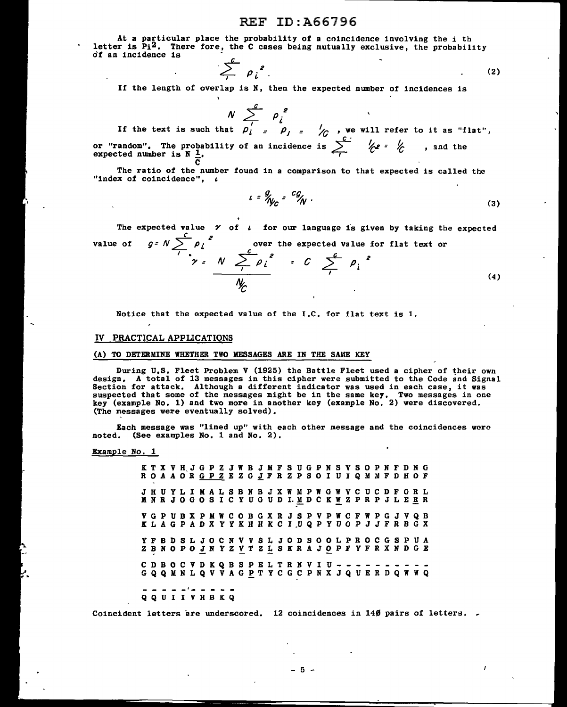At a particular place the probability of a coincidence involving the i th letter is  $P_1^2$ . There fore, the C cases being mutually exclusive, the probability of an incidence is

$$
\sum_{i}^{k} \rho_i^{2} \tag{2}
$$

If the length of overlap is N, then the expected number of incidences is

If the text is such that 
$$
N \sum_{j=1}^{c} p_j^2
$$
  
If the text is such that  $p'_j = p_j = \sqrt{c}$  we will refer to it as "flat",

If the text is such that  $\rho_i = \rho_j = \frac{1}{\sqrt{6}}$ , we will refer to it as "f!<br>or "random". The probability of an incidence is  $\sum_i^c \frac{\epsilon_i^c}{\sqrt{6}}$ , and the expected number is N 1. or "random", The probable  $\frac{1}{2}$ .  $\overline{c}$ 

The ratio of the number found in a comparison to that expected is called the "index of coincidence",  $\iota$ 

$$
u = \frac{g}{\gamma} \int_{C} = \frac{cg}{\gamma} \tag{3}
$$

The expected value  $\gamma$  of  $\iota$  for our language is given by taking the expected *= c g* =  $N \sum_{i=1}^{C} p_i^{2}$ <br> $\gamma = N$ value of over the expected value for *<sup>c</sup>*  $\sum_{i}^{c} p_i^2$ over the expected value for flat text or (4)

Notice that the expected value of the I.C. for flat text is 1.

### IV PRACTICAL APPLICATIONS

### (A) TO DETERMINE WHETHER TWO MESSAGES ARE IN THE SAME KEY

During U.S. Fleet Problem V (1925) the Battle Fleet used a cipher of their own design. A total of 13 messages in this cipher were submitted to the Code and Signal Section for attack. Although a different indicator was used in each case, it was<br>suspected that some of the messages might be in the same key. Two messages in one<br>key (example No. 1) and two more in another key (example No (The messages were eventually solved),

Each message was "lined up" with each other message and the coincidences were noted. (See examples No. 1 and No. 2).

Example No. 1

|  |  |  | K T X V H J G P Z J W B J M F S U G P N S V S O P N F D N G<br>R O A A O R G P Z E Z G J F R Z P S O I U I Q M M F D H O F         |  |  |  |  |  |  |  |  |  |  |  |  |
|--|--|--|------------------------------------------------------------------------------------------------------------------------------------|--|--|--|--|--|--|--|--|--|--|--|--|
|  |  |  | J H U Y L I M A L S B N B J X W M P W G W V C U C D F G R L<br>M N R J O G O S I C Y U G U D I. M D C K W Z P R P J L E <u>R</u> R |  |  |  |  |  |  |  |  |  |  |  |  |
|  |  |  | V G P U B X P M W C O B G X R J S P V P W C F W P G J V Q B<br>K L A G P A D X Y Y K H H K C I U Q P Y U O P J J F R B G X         |  |  |  |  |  |  |  |  |  |  |  |  |
|  |  |  | Y F B D S L J O C N V V S L J O D S O O L P R O C G S P U A<br>Z B N O P O J N Y Z V T Z L S K R A J O P F Y F R X N D G E         |  |  |  |  |  |  |  |  |  |  |  |  |
|  |  |  | C D B O C V D K Q B S P E L T R N V I U - - - - - - - - - -<br>G Q Q M N L Q V V A G P T Y C G C P N X J Q U E R D Q W W Q         |  |  |  |  |  |  |  |  |  |  |  |  |
|  |  |  | - - - - - - - - - - -                                                                                                              |  |  |  |  |  |  |  |  |  |  |  |  |

#### Q Q U I I V H B K Q

Coincident letters are underscored. 12 coincidences in 14 $\emptyset$  pairs of letters.

- 5 -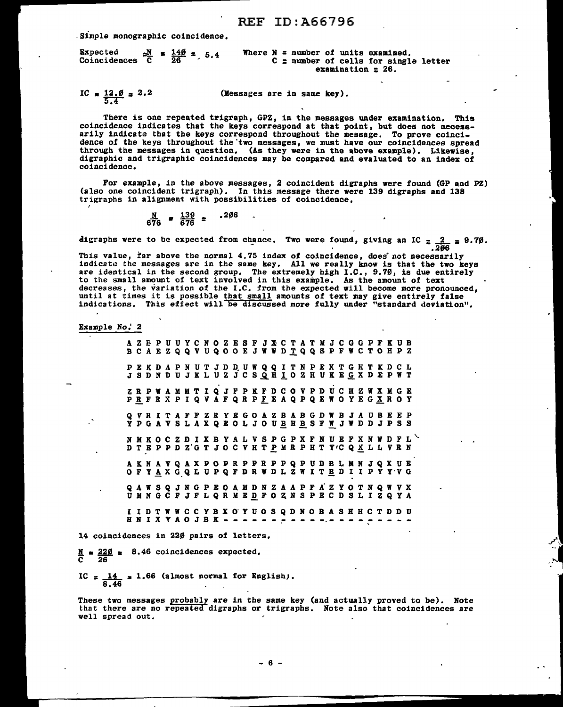.simple monographic coincidence.

| Expected $\frac{N}{C} = \frac{140}{26} = .5.4$<br>Coincidences $\overline{C}$ |  |  |  |  | Where $N = number of units examined$ , |                           | $C =$ number of cells for single letter |  |
|-------------------------------------------------------------------------------|--|--|--|--|----------------------------------------|---------------------------|-----------------------------------------|--|
|                                                                               |  |  |  |  |                                        | examination $\approx$ 26. |                                         |  |

IC  $\approx \frac{12.0}{5.4} \approx 2.2$ (Messages are in same key).

There is one repeated trigraph, GPZ, in the messages under examination. This coincidence indicates that the keys correspond at that point, but does not necessarily indicate that the keys correspond throughout the message. To prove coincidence of the keys throughout the two messages, we must have our coincidences spread through the messages in question. (As they were in the above example). Likewise, digraphic and trigraphic coincidences may be compared and evaluated to an index of coincidence.

For example, in the above messages, 2 coincident digraphs were found (GP and PZ) (also one coincident trigraph). In this message there were 139 digraphs and 138 trigraphs in alignment with possibilities of coincidence.

$$
\frac{N}{676} = \frac{139}{676} = .206
$$

digraphs were to be expected from chance. Two were found, giving an IC  $\frac{2}{206}$  = 9.70.

This value, far above the normal 4.75 index of coincidence, does not necessarily indicate the messages are in the same key. All we really know is that the two keys are identical in the second group. The extremely high I.C., 9.70, is due entirely to the small amount of text involved in this example. As the amount of text decreases, the variation of the I.C. from the expected will become more pronounced, until at times it is possible that small amounts of text may give entirely false indications. This effect will be discussed more fully und

Example No.' 2

I

|                  |  |  |  |  |  |  | A Z E P U U Y C N O Z E S F J X C T A T M J C G G P F K U B<br>B C A E Z Q Q V U Q O O E J W W D T Q Q S P F W C T O H P Z        |  |  |  |  |  |  |  |                                                               |  |
|------------------|--|--|--|--|--|--|-----------------------------------------------------------------------------------------------------------------------------------|--|--|--|--|--|--|--|---------------------------------------------------------------|--|
|                  |  |  |  |  |  |  | PEKDAPNUTJDDUWQQITNPEXTGHTKDCL<br>J S D N D U J K L U Z J C S Q H I O Z H U K E G X D E P W T                                     |  |  |  |  |  |  |  |                                                               |  |
|                  |  |  |  |  |  |  | Z R P W A M M T I Q J F P K F D C O V P D U C H Z W X M G E<br>PRFRX PIQ VAFQR PFEAQ PQEWOYEG XROY                                |  |  |  |  |  |  |  |                                                               |  |
|                  |  |  |  |  |  |  | Q V R I T A F F Z R Y E G O A Z B A B G D W B J A U B E E P<br>Y P G A V S L A X Q E O L J O U <u>B H B</u> S F W J W D D J P S S |  |  |  |  |  |  |  |                                                               |  |
|                  |  |  |  |  |  |  | D T E P P D Z G T J O C V H T P M R P H T Y 'C Q <u>X</u> L L V R N                                                               |  |  |  |  |  |  |  | N M K O C Z D I X B Y A L V S P G P X F N U E F X N W D F L V |  |
|                  |  |  |  |  |  |  | A K N A V Q A X P O P R P P R P P Q P U D B L M N J Q X U E<br>O F Y A X G Q L U P Q F D R W D L Z W I T B D I I P Y Y V G        |  |  |  |  |  |  |  |                                                               |  |
|                  |  |  |  |  |  |  | Q A W S Q J N G P E O A M D N Z A A P F A Z Y O T N Q W V X<br>U M N G C F J F L Q R M E D F O Z N S P E C D S L I Z Q Y A        |  |  |  |  |  |  |  |                                                               |  |
| HNIXYAOJBK - - - |  |  |  |  |  |  | I I D T W W C C Y B X O Y U O S Q D N O B A S H H C T D D U                                                                       |  |  |  |  |  |  |  |                                                               |  |

14 coincidences in 220 pairs of letters.

 $\frac{N}{C}$  =  $\frac{220}{26}$  = 8.46 coincidences expected.

IC  $=\frac{14}{8.46}$  = 1.66 (almost normal for English).

These two messages probably are in the same key (and actually proved to be). Note that there are no repeated digraphs or trigraphs. Note also that coincidences are well spread out.

;~ • I

- 6 -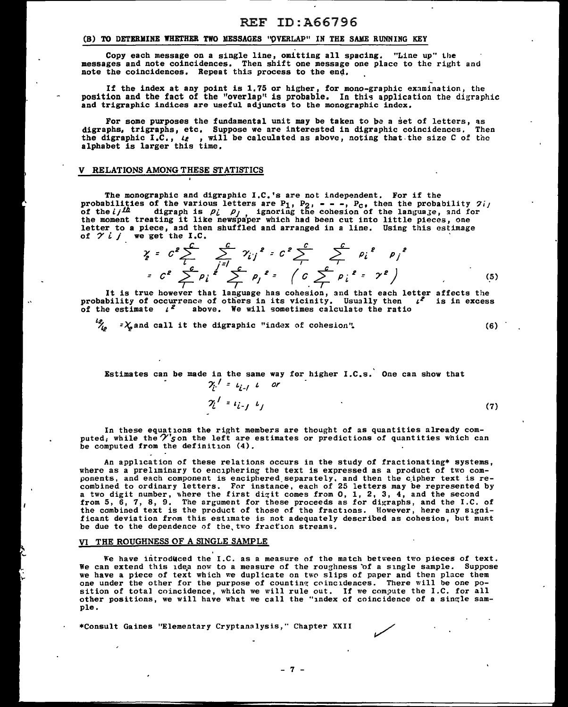# (B) TO DETERMINE WHETHER TWO MESSAGES "OVERLAP" IN THE SAME RUNNING KEY

Copy each message on a single line, omitting all spacing. "Line up" the messages and note coincidences. Then shift one message one place to the right and note the coincidences. Repeat this process to the end.

If the index at any point is 1.75 or higher, for mono-graphic examination, the position and the fact of the "overlap" is probable. In this application the digraphic and trigraphic indices are useful adjuncts to the monographic index.

For some purposes the fundamental unit may be taken to be a set of letters, as digraphs, trigraphs, etc. Suppose we are interested in digraphic coincidences.<br>the digraphic I.C., *te*, will be calculated as above, noting that the size C of alphabet is larger this time. Then the

### V RELATIONS AMONG THESE STATISTICS

The monographic and digraphic I.C.'s are not independent. For if the probabilities of the various letters are  $P_1$ ,  $P_2$ ,  $---$ ,  $P_c$ , then the probability  $2ij$ <br>of the  $ij^{LL}$  digraph is  $\rho_i$   $\rho_j$  ignoring the cohesion of the language, and for<br>the moment treating it like newspaper which h

of 
$$
\gamma i
$$
 if we get the I.C.  
\n
$$
\gamma = c^2 \sum_{i=1}^{c} \sum_{j=1}^{c} \gamma_{ij}^2 = c^2 \sum_{i=1}^{c} \sum_{j=1}^{c} \rho_i^2 = \rho_i^2
$$
\n
$$
= c^2 \sum_{j=1}^{c} \rho_i^2 \sum_{j=1}^{c} \rho_j^2 = (c \sum_{i=1}^{c} \rho_i^2 = \gamma^2)
$$
\n(5)

It is true however that language has cohesion, and that each letter affects the probability of occurrence of others in its vicinity. Usually then  $t^2$  is in excess of the estimate  $t^2$  above. We will sometimes calculate the ratio

 $\frac{\partial \mathcal{L}}{\partial \mathcal{L}}$  =  $\chi$  and call it the digraphic "index of cohesion". (6)

Estimates can be made in the same way for higher  $I.C.s.$  One can show that  $2i^2 = 2i + 1$  or

 $\gamma_i^{\prime} = \iota_{i-j} \cdot \iota_j$  (7)

In these equations the right members are thought of as quantities already com-<br>puted; while the  $\mathcal{V}'$ son the left are estimates or predictions of quantities which can<br>be computed from the definition (4).

An application of these relations occurs in the study of fractionating\* systems,<br>where as a preliminary to enciphering the text is expressed as a product of two components, and each component is enciphered separately, and then the cipher text is re-<br>combined to ordinary letters. For instance, each of 25 letters may be represented by<br>a two digit number, where the first digit comes fr from 5, 6, 7, 8, 9, The argument for these proceeds as for digraphs, and the I.C. of the combined text is the product of those of the fractions. However, here any significant deviation from this estimate is not adequately described as cohesion, but must be due to the dependence of the, two fraction streams.

### VI THE ROUGHNESS OF A SINGLE SAMPLE

We have introduced the I.C. as a measure of the match between two pieces of text. We can extend this idea now to a measure of the roughness of a single sample. Suppose we have a piece of text which we duplicate on two slips of paper and then place them one under the other for the purpose of counting coi sition of total coincidence, which we will rule out. If we compute the I.C. for all other positions, we will have what we call the "index of coincidence of a single sam-<br>ple.

\*Consult Gaines "Elementary Cryptanalysis," Chapter XXII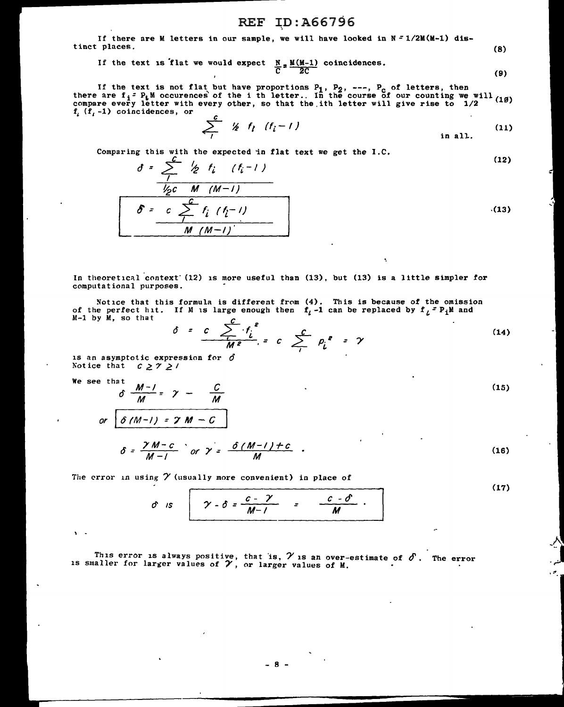If there are M letters in our sample, we will have looked in N = l/2M(M-l) distinct places.  $(8)$ 

If the text is flat we would expect  $\frac{N}{C} \neq \frac{M(M-1)}{2C}$  coincidences. (9)

If the text is not flat but have proportions  $P_1$ ,  $P_2$ , ---,  $P_c$  of letters, then there are  $f_1 = P_t M$  occurences of the i th letter.. In the course of our counting we will (10)<br>compare every letter with every other, so that the ith letter will give rise to  $1/2$ compare every letter with every other, so that the ith letter will give rise to  $1/2$  $f_i$   $(f_i -1)$  coincidences, or

$$
\sum_{i}^{c} \frac{1}{2} \frac{1}{2} \frac{1}{2} \frac{1}{2} \frac{1}{2} \frac{1}{2} \frac{1}{2} \frac{1}{2} \frac{1}{2} \frac{1}{2} \frac{1}{2} \frac{1}{2} \frac{1}{2} \frac{1}{2} \frac{1}{2} \frac{1}{2} \frac{1}{2} \frac{1}{2} \frac{1}{2} \frac{1}{2} \frac{1}{2} \frac{1}{2} \frac{1}{2} \frac{1}{2} \frac{1}{2} \frac{1}{2} \frac{1}{2} \frac{1}{2} \frac{1}{2} \frac{1}{2} \frac{1}{2} \frac{1}{2} \frac{1}{2} \frac{1}{2} \frac{1}{2} \frac{1}{2} \frac{1}{2} \frac{1}{2} \frac{1}{2} \frac{1}{2} \frac{1}{2} \frac{1}{2} \frac{1}{2} \frac{1}{2} \frac{1}{2} \frac{1}{2} \frac{1}{2} \frac{1}{2} \frac{1}{2} \frac{1}{2} \frac{1}{2} \frac{1}{2} \frac{1}{2} \frac{1}{2} \frac{1}{2} \frac{1}{2} \frac{1}{2} \frac{1}{2} \frac{1}{2} \frac{1}{2} \frac{1}{2} \frac{1}{2} \frac{1}{2} \frac{1}{2} \frac{1}{2} \frac{1}{2} \frac{1}{2} \frac{1}{2} \frac{1}{2} \frac{1}{2} \frac{1}{2} \frac{1}{2} \frac{1}{2} \frac{1}{2} \frac{1}{2} \frac{1}{2} \frac{1}{2} \frac{1}{2} \frac{1}{2} \frac{1}{2} \frac{1}{2} \frac{1}{2} \frac{1}{2} \frac{1}{2} \frac{1}{2} \frac{1}{2} \frac{1}{2} \frac{1}{2} \frac{1}{2} \frac{1}{2} \frac{1}{2} \frac{1}{2} \frac{1}{2} \frac{1}{2} \frac{1}{2} \frac{1}{2} \frac{1}{2} \frac{1}{2} \frac{1}{2} \frac{1}{2} \frac{1}{2} \frac{1}{2} \frac{1}{2} \frac{1}{2} \frac{1}{2} \frac{1}{2} \frac{1}{2} \frac{
$$

Comparing this with the expected in flat text we get the 1.C.  
\n
$$
\frac{\partial}{\partial t} = \sum_{j} \frac{\partial}{\partial t} f_{j} \quad (f_{i} - 1)
$$
\n
$$
\frac{\partial}{\partial t} = \sum_{j} \frac{\partial}{\partial t} f_{j} \quad (f_{j} - 1)
$$
\n
$$
\frac{\partial}{\partial t} = \sum_{j} \frac{\partial}{\partial t} f_{j} \quad (f_{j} - 1)
$$
\n(13)

In theoretical context (12) is more useful than  $(13)$ , but  $(13)$  is a little simpler for computational purposes.

Notice that this formula is different from (4). This is because of the omission of the perfect hit. If M is large enough then  $f_l$ -1 can be replaced by  $f_l^2 P_l M$  and M-1 by M, so that

$$
\delta = \frac{c}{M^2} \sum_{i=1}^{C} t_i^2 = c \sum_{i=1}^{C} p_i^2 = \gamma
$$
 (14)

is an asymptotic expression for *0*  Notice that  $c \geq 7 \geq 7$ 

We see that

 $\sqrt{ }$ 

$$
\delta \frac{M-1}{M} = \gamma - \frac{C}{M}
$$
\n
$$
\text{or } \frac{\delta (M-1) = \gamma M - C}{\delta} \quad \text{(15)}
$$
\n
$$
\delta = \frac{\gamma M - C}{\gamma \gamma} \quad \text{or } \gamma = \frac{\delta (M-1) + C}{\gamma} \quad .
$$
\n(16)

$$
\delta = \frac{\gamma M - c}{M - 1} \quad \text{or} \quad \gamma = \frac{\delta (M - 1) + c}{M} \quad .
$$

The error in using  $\gamma$  (usually more convenient) in place of

$$
\hat{\sigma} \text{ is } \overbrace{\begin{array}{c} \gamma - \delta = \frac{c - \gamma}{M - 1} = \frac{c - \delta}{M} \\ \end{array}}^{L \text{ (17)}}
$$

-~, ش<sub>م</sub> -<br>- $\cdot$  .

This error is always positive, that is,  $\gamma$  is an over-estimate of  $\delta$ . The error is smaller for larger values of  $\gamma$ , or larger values of M.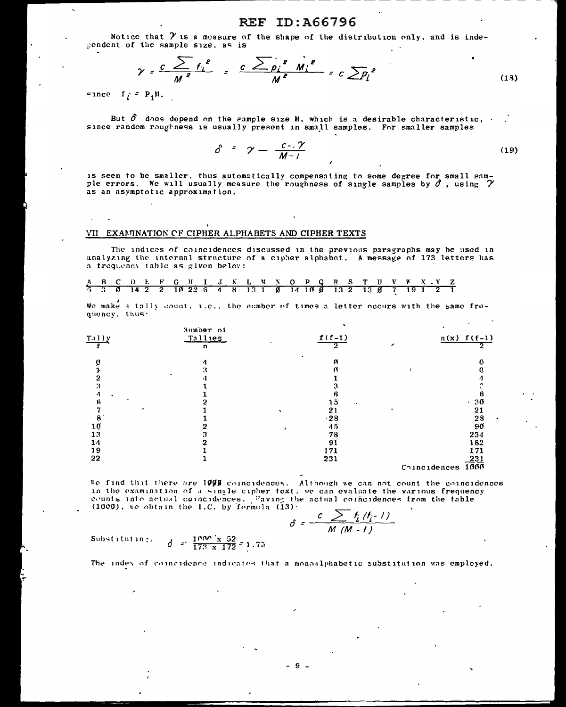Notice that  $\gamma$  is a measure of the shape of the distribution only, and is indecendent of the sample size, as is

$$
\gamma = \frac{c}{M^2} \sum_{i=1}^{\infty} f_i^2 = \frac{c \sum_{p_i} e_{m_i} e_{m_i}}{M^2} = c \sum_{i=1}^{\infty} f_i^2
$$
 (18)

 $c$  ince  $f_i = P_i M$ .

But  $\delta$  does depend on the sample size M, which is a desirable characteristic,  $\cdot$ since random roughness is usually present in small samples. For smaller samples

$$
\delta = \gamma = \frac{c - \gamma}{M - 1} \tag{19}
$$

is seen to be smaller, thus automatically compensating to some degree for small sam-<br>ple errors. We will usually measure the roughness of single samples by  $\hat{\sigma}$ , using  $\gamma$ as an asymptotic approximation.

### VII EXAMINATION OF CIPHER ALPHABETS AND CIPHER TEXTS

The indices of coincidences discussed in the previous paragraphs may be used in analyzing the internal structure of a cipher alphabet. A message of 173 letters has a frequency table as given below:

|  |  |  |  |  |  |  | <u>A B C D L F G H I J K L W N O P Q R S T U V W X Y Z</u>   |  |  |  |  |  |  |
|--|--|--|--|--|--|--|--------------------------------------------------------------|--|--|--|--|--|--|
|  |  |  |  |  |  |  | 5 3 6 14 2 2 10 22 6 4 8 13 1 0 14 16 0 13 2 13 0 7 19 1 2 1 |  |  |  |  |  |  |

We make a tally count, i.e., the number of times a letter occurs with the same frequency, thus.

| $\frac{111y}{2}$ | Number of<br>Tallies<br>n | $f(f-1)$<br>ぅ   | $n(x) f(f-1)$     |
|------------------|---------------------------|-----------------|-------------------|
|                  | 4                         | $\bullet$<br>ρ  |                   |
|                  | 3                         |                 |                   |
|                  | $\bullet$                 |                 |                   |
|                  |                           |                 |                   |
| 4                |                           |                 |                   |
| а                |                           | 15<br>$\bullet$ | .36               |
|                  |                           | 21              | 21                |
|                  |                           | $-28$           | 28                |
| 10               |                           | 45              | 90                |
| 13               |                           | 78              | 234               |
| 14               |                           | 91              | 182               |
| 19               |                           | 171             | 171               |
| 22               |                           | 231             | 231               |
|                  |                           |                 | Coincidences 1000 |

We find that there are 1000 coincidences. Although we can not count the coincidences in the examination of a single cipher text, we can evaluate the various frequency counts into actual coincidences. Having the actual coincidences from the table  $(1000)$ , we obtain the 1.C. by formula  $(13)$ .

$$
\delta = \frac{c \sum f_i(f_{i-1})}{M(M-1)}
$$

 $\delta = \frac{1000 \times 52}{173 \times 172} = 1.75$ Substituting.

The index of coincidence indicates that a monoalphabetic substitution was employed.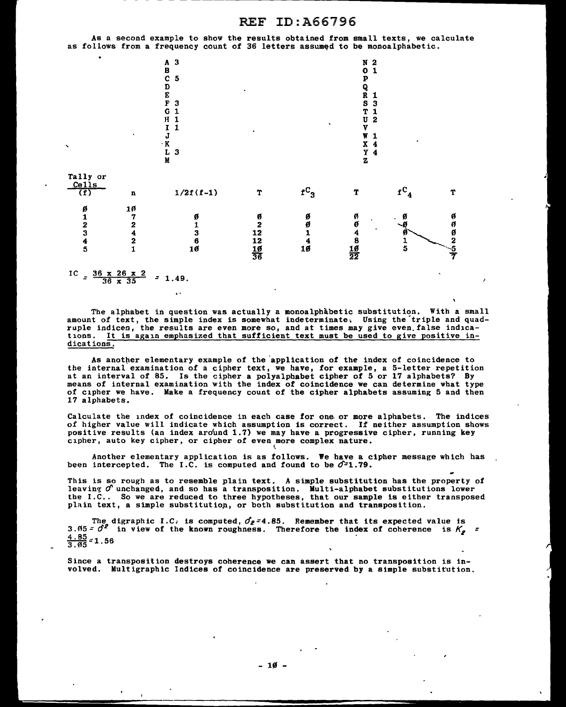As a second example to show the results obtained from small texts, we calculate as follows from a frequency count of 36 letters assumed to be monoalphabetic.



IC =  $\frac{36 \times 26 \times 2}{36 \times 35}$  = 1.49.

 $\ddot{\phantom{a}}$ 

The alphabet in question was actually a monoalphabetic substitution. With a small amount of text, the simple index is somewhat indeterminate, Using the'triple and quadruple indices, the results are even more so, and at times may give even false indications. It is again emphasized that sufficient text must be used to give positive indications.

As another elementary example of the application of the index of coincidence to the internal examination of a cipher text, we have, for example, a 5-letter repetition at an interval of 85. Is the cipher a polyalphabet cipher of 5 or 17 alphabets? By means of internal examination with the index of coincidence we can determine what type means of internal examination with the index of coincidence we can determine what type of cipher we have. Make a frequency count of the cipher alphabets assuming 5 and then 17 alphabets.

Calculate the index of coincidence in each case for one. or more alphabets. The indices of higher value will indicate which assumption is correct. If neither assumption shows positive results (an index aro'und 1.7) we may have a progressive cipher, running key cipher, auto key cipher, or cipher of even more complex nature.

Another elementary application is as follows. We have a cipher message which has been intercepted. The I.C. is computed and found to be  $\mathcal{O}=1.79$ .

This is so rough as to resemble plain text. A simple substitution has the property of leaving  $\sigma$  unchanged, and so has a transposition. Multi-alphabet substitutions lower the I.C.. So we are reduced to three hypotheses, that our sample is either transposed plain text, a simple substitutiop, or both substitution and transposition.

The digraphic I.C. is computed,  $\sigma_2 = 4.85$ . Remember that its expected value is 3.  $65 = \theta^2$  in view of the known roughness. Therefore the index of coherence is  $K_2 =$  $\frac{4.85}{3.05}$  = 1,56

Since a transposition destroys coherence we can assert that no transposition is involved. Multigraphic Indices of coincidence are preserved by a simple substitution.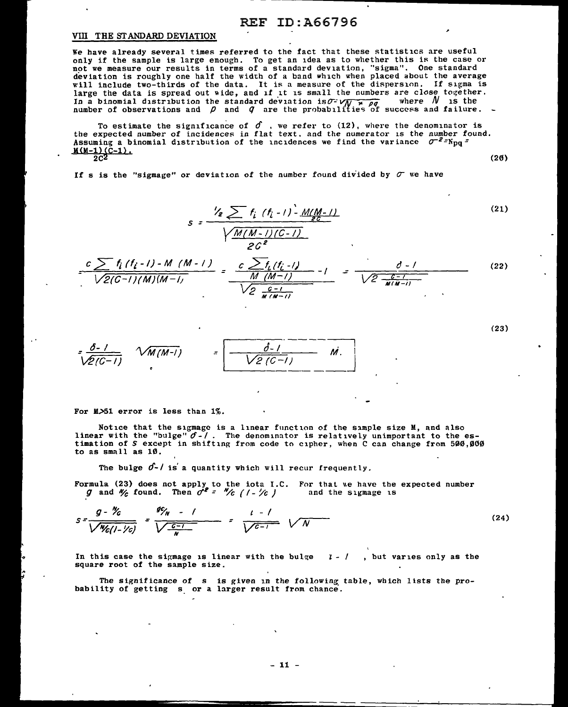### VIII THE STANDARD DEVIATION

We have already several times referred to the fact that these statistics are useful only if the sample is large enough. To get an idea as to whether this is the case or not we measure our results in terms of a standard deviation, "sigma". One standard deviation is roughly one half the width of a band which when placed about the average will include two-thirds of the data. It is a measure of the dispersion. If sigma is large the data is spread out wide, and if it is small the numbers are close together. In a binomial distribution the standard deviation is  $\sigma$   $\sqrt{N}$  ,  $\rho$  where  $N$  is the number of observations and  $\rho$  and  $q$  are the probabilities of success and failure.

To estimate the significance of  $\hat{J}$ , we refer to (12), where the denominator is the expected number of incidences in flat text. and the numerator is the number found. Assuming a binomial distribution of the incidences we find the variance  $\sigma^{-2}$ =N<sub>nn</sub>=  $M(M-1)(C-1).$ <br> $2C^2$  $2c^2$  (26)

If s is the "sigmage" or deviation of the number found divided by  $\sigma$  we have

$$
s = \frac{V_e \sum f_i (f_i - 1) - M(M - 1)}{\sqrt{\frac{M(M - 1)(C - 1)}{2C^2}}}
$$
(21)

- - -------~-----------

$$
\frac{c \sum f_i (f_i - I) - M (M - I)}{\sqrt{2(G-1)(M)(M - I)}} = \frac{c \sum f_i (f_i - I)}{M (M - I)} - I = \frac{\partial - I}{\sqrt{2 \frac{c - I}{M(M - I)}}}
$$
(22)

$$
\frac{\delta-1}{\sqrt{2(C-1)}} \quad \sqrt{M(M-1)} \qquad = \boxed{\frac{\delta-1}{\sqrt{2(C-1)}} \quad M.}
$$

For M>51 error is less than 1%.

Notice that the sigmage is a linear function of the simple size  $M$ , and also linear with the "bulge"  $\sigma$ - $\prime$ . The denominator is relatively unimportant to the es-<br>timation of *S* except in shifting from code to cipher, when C can change from 500,000 to as small as 10.

The bulge  $0$ -/ is a quantity which will recur frequently.

Formula (23) does not apply to the iota I.C. For that we have the expected number  $g$  and  $\mathcal{H}$  found. Then  $\sigma^2 = \mathcal{H}_C$   $(1 - \frac{1}{\sqrt{c}})$  and the sigmage is and the sigmage is

$$
S = \frac{g - \gamma_c}{\sqrt{\gamma_c(1 - \gamma_c)}} = \frac{g\gamma_w - 1}{\sqrt{\frac{c - 1}{w}}} = \frac{l - 1}{\sqrt{c - 1}} \sqrt{N}
$$
 (24)

In this case the sigmage is linear with the bulge square root of the sample size.  $l - l$ , but varies only as the

The significance of s is given in the following table, which lists the probability of getting  $s$  or a larger result from chance.

(23)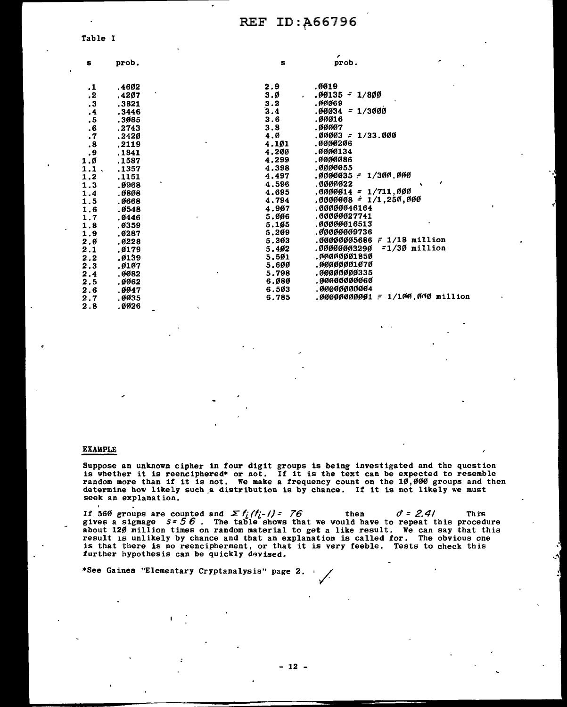|                 |       |                | ,                                               |
|-----------------|-------|----------------|-------------------------------------------------|
| s               | prob. | s              | prob.                                           |
| .1              | .4602 | 2.9            | .0019                                           |
| $\cdot$         | .4207 | 3.Ø            | $.09135 - 1/800$<br>$\bullet$                   |
| $\cdot$ 3       | .3821 |                | .ศศศ69                                          |
| $\cdot$         | .3446 | $3.2$<br>$3.4$ | .00034 = 1/3000                                 |
| .5              | .3085 | 3.6            | .00016                                          |
| ${\bf .6}$      | .2743 | 3.8            | .00007                                          |
| $\cdot$ 7       | .2420 | 4.Ø            | .00003 -<br>1/33.000                            |
| $\cdot$ 8       | .2119 | 4.101          | .0000206                                        |
| .9              | .1841 | 4.200          | .0000134                                        |
| 1.0             | .1587 | 4.299          | .0000086                                        |
| 1.1.            | .1357 | 4.398          | .0000055                                        |
| 1.2             | .1151 | 4.497          | .0000035 - 1/300.000                            |
| 1.3             | .0968 | 4.596          | .0000022                                        |
| 1.4             | .0808 | 4.695          | .0000014 = 1/711.000                            |
| 1.5             | .0668 | 4.794          | .0000008 = 1/1,250,000                          |
| 1.6             | .0548 | 4.907          | .00000046164                                    |
| 1.7             | .0446 | 5.006          | .00000027741                                    |
| 1.8             | ,0359 | 5.105          | .00000016513                                    |
| 1.9             | .0287 | 5.209          | .00000009736                                    |
| 2.6             | .0228 | 5.303          | $.00000005686 = 1/18$ million                   |
| 2.1             | .0179 | 5.402          | $=1/30$ million<br>.00000003290                 |
| $2.2$<br>$2.3$  | .0139 | 5.501          | .ศศตศตตตา 850                                   |
|                 | .0107 | 5.600          | .00000001070                                    |
| 2.4             | .0082 | 5.798          | .00000000335                                    |
| 2.5             | .0062 | 6.Ø80          | .00000000060                                    |
| 2.6             | .0047 | 6.503          | .00000000004                                    |
| 2.7             | .0035 | 6.785          | $1/100,000$ millio<br>.00000000001 <del>.</del> |
| $\sim$ $\alpha$ | aane  |                |                                                 |

### **EXAMPLE**

Suppose an unknown cipher in four digit groups is being investigated and the question is whether it is reenciphered\* or not. If it is the text can be expected to resemble<br>random more than if it is not. We make a frequency count on the 10,000 groups and then<br>determine how likely such a distribution is by cha seek an explanation.

If 560 groups are counted and  $\Sigma f_i/f_{i-}/f = 76$  then  $\sigma = 2.4/$  This gives a sigmage  $s = 56$ . The table shows that we would have to repeat this procedure about 120 million times on random material to get a like result. We result is unlikely by chance and that an explanation is called for. The obvious one is that there is no reencipherment, or that it is very feeble. Tests to check this further hypothesis can be quickly devised.

\*See Gaines "Elementary Cryptanalysis" page 2.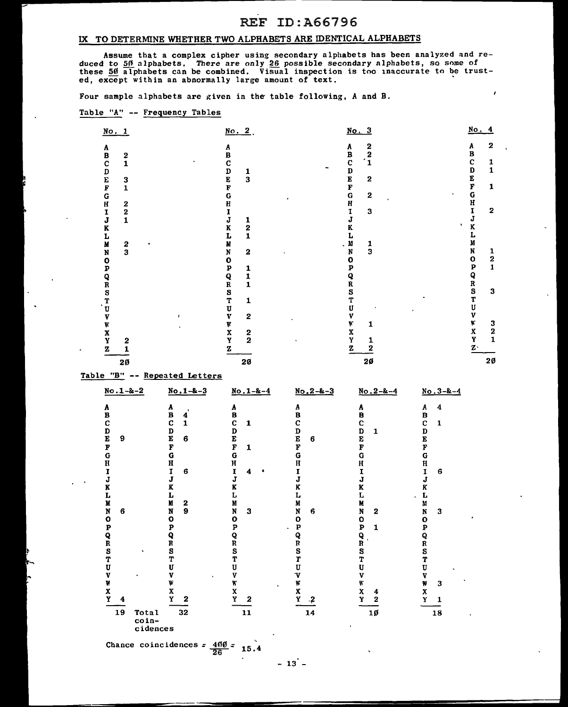$\lambda$ 

### IX TO DETERMINE WHETHER TWO ALPHABETS ARE IDENTICAL ALPHABETS

Assume that a complex cipher using secondary alphabets has been analyzed and reduced to 50 alphabets. There are only 26 possible secondary alphabets, so some of these 50 alphabets can be combined. Visual inspection is too inaccurate to be trusted, except within an abnormally large amount of text.

Four sample alphabets are given in the table following, A and B.

### Table "A'' -- Frequency Tables

| No. 1                      |               | $\underline{No. 2}$ .      | No. 3                                      | No. 4                                                      |
|----------------------------|---------------|----------------------------|--------------------------------------------|------------------------------------------------------------|
|                            |               |                            | $\begin{array}{c} 2 \\ 2 \\ 1 \end{array}$ | $\mathbf 2$<br>Α                                           |
|                            | 2             |                            |                                            |                                                            |
|                            | $\mathbf{1}$  |                            |                                            | 1                                                          |
|                            |               |                            |                                            | $\mathbf{1}$                                               |
| ABCDEFGHIJKL               |               | ABCDEF<br>$\frac{1}{3}$    | ABCDEFGH<br>$\overline{2}$                 | <b>BCDEFGHI</b>                                            |
|                            | $\frac{3}{1}$ |                            |                                            | 1                                                          |
|                            |               | G                          | $\mathbf{2}$                               |                                                            |
|                            |               | H                          |                                            |                                                            |
|                            | $\frac{2}{2}$ | I                          | I<br>3                                     | $\mathbf{z}$                                               |
|                            | 1             | J<br>1                     | J                                          | J                                                          |
|                            |               | $\bf K$<br>2               | K                                          | K                                                          |
|                            |               | $\mathbf{1}$<br>L          |                                            |                                                            |
| M                          |               | M                          | M<br>1                                     |                                                            |
| N                          | $\frac{2}{3}$ | N<br>$\bf{2}$              | $\overline{\mathbf{3}}$<br>N               | N<br>1                                                     |
| $\mathbf{o}$               |               | $\mathbf 0$                | 0                                          | $\frac{2}{1}$<br>$\mathbf{o}$                              |
| p                          |               | 1                          | P                                          | $\bf p$                                                    |
|                            |               | P<br>Q<br>R<br>S<br>T<br>1 | Q                                          | $R$<br>$S$<br>$T$                                          |
|                            |               | $\mathbf{1}$               | R                                          |                                                            |
|                            |               |                            | S                                          | 3                                                          |
| $Q_R$<br>$T$<br>$T$<br>$V$ |               | 1                          | Т                                          |                                                            |
|                            |               | U                          | U                                          | U                                                          |
|                            |               | $\bf v$<br>2               | v                                          | V                                                          |
| W                          |               | γ                          | Y<br>1                                     | $\mathbf{K}$<br>$\begin{array}{c} 3 \\ 2 \\ 1 \end{array}$ |
|                            |               | X<br>Y<br>$\mathbf{2}$     |                                            | $\mathbf{x}$<br>$\mathbf{y}$                               |
| X<br>Y                     | 2             |                            | X<br>Y<br>1                                |                                                            |
| $\mathbf z$                | 1             | z                          | z<br>2                                     | $\bar{z}$                                                  |
|                            |               | 20                         | $2\%$                                      | $20 \,$                                                    |
|                            | 20            |                            |                                            |                                                            |

Table "B" -- Repeated Letters

| $No.1 - 2 - 2$                                                                                                                     | $No.1 - 8 - 3$                                                                                                                                                                                                                              | $N_0$ . 1-&-4                                                                                                                                                                       | $N_0$ , $2 - 8 - 3$                                                                                                                                                         | $No.2 - k - 4$                                                                                                                                                                                       | $No.3 - 8 - 4$                                                                                                                                                                                                             |
|------------------------------------------------------------------------------------------------------------------------------------|---------------------------------------------------------------------------------------------------------------------------------------------------------------------------------------------------------------------------------------------|-------------------------------------------------------------------------------------------------------------------------------------------------------------------------------------|-----------------------------------------------------------------------------------------------------------------------------------------------------------------------------|------------------------------------------------------------------------------------------------------------------------------------------------------------------------------------------------------|----------------------------------------------------------------------------------------------------------------------------------------------------------------------------------------------------------------------------|
| A B C D E<br>9<br>F<br>G<br>H<br>I<br>J<br>K<br>L<br>M<br>N<br>6<br>$\mathbf{o}$<br>P<br>Q<br>R<br>S<br>٠<br>T<br>U<br>V<br>W<br>X | A<br>B<br>$\mathbf{r}$<br>4<br>$\mathbf c$<br>1<br>$\frac{\mathbf{D}}{\mathbf{E}}$<br>6<br>F<br>G<br>H<br>I<br>6<br>J<br>K<br>L<br>M<br>$\mathbf{2}$<br>$\mathbf{9}$<br>N<br>$\mathbf{o}$<br>P<br>Q<br>R<br>S<br>T<br>U<br>v<br>٠<br>W<br>X | Α<br>B<br>Ċ<br>$\mathbf{1}$<br>D<br>E<br>F<br>1<br>G<br>H<br>$\mathbf{I}$<br>4<br>J<br>K<br>L<br>M<br>N<br>3<br>$\mathbf o$<br>$\mathbf{P}$<br>Q<br>Ŕ<br>S<br>T<br>U<br>v<br>W<br>X | Α<br>B<br>$\mathbf c$<br>D<br>E<br>6<br>$\overline{\mathbf{F}}$<br>G<br>$\bf{H}$<br>J<br>K<br>L<br>M<br>N<br>6<br>O<br>P<br>Q<br>$\mathbf R$<br>S<br>T<br>ŢŢ<br>v<br>W<br>X | Α<br>B<br>C<br>D<br>$\mathbf{1}$<br>E<br>F<br>Ġ<br>H<br>I<br>J<br>K<br>L<br>M<br>N<br>$\overline{2}$<br>o<br>$\mathbf{p}$<br>1<br>$\frac{\mathbf{Q}}{\mathbf{R}}$<br>S<br>T<br>Ù<br>v<br>Κ<br>X<br>4 | 4<br>Α<br>B<br>$\mathbf{C}$<br>$\mathbf{1}$<br>D<br>E<br>F<br>G<br>$\mathbf H$<br>I<br>6<br>J<br>K<br>Г<br>M<br>N<br>3<br>$\mathbf o$<br>$\mathbf{p}$<br>Q<br>R<br>S<br>T<br>U<br>v<br>W<br>3<br>$\boldsymbol{\mathrm{x}}$ |
| Y<br>4                                                                                                                             | Y<br>$\mathbf{2}$                                                                                                                                                                                                                           | Y<br>$\mathbf{2}$                                                                                                                                                                   | Y<br>$\cdot$                                                                                                                                                                | Y<br>2                                                                                                                                                                                               | Y<br>1                                                                                                                                                                                                                     |
| 19<br>Total<br>coin-<br>cidences                                                                                                   | 32                                                                                                                                                                                                                                          | 11<br>$\mathbf{r}_\mathrm{a}$                                                                                                                                                       | 14                                                                                                                                                                          | $10\,$                                                                                                                                                                                               | 18                                                                                                                                                                                                                         |

Chance coincidences  $=$   $\frac{400}{26}$   $=$   $15.4$ 

 $- 13 -$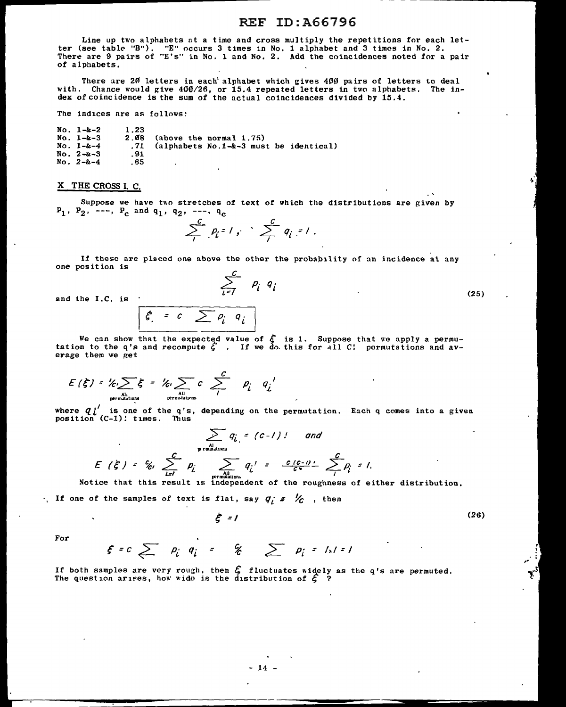Line up two alphabets at a time and cross multiply the repetitions for each letter (see table "B"). "E" occurs 3 times in No. 1 alphabet and 3 times in No. 2. There are 9 pairs of "E's" in No. 1 and No. 2. Add the coincidences noted for a pair of alphabets.

There are 20 letters in each' alphabet which gives 400 pairs of letters to deal with. Chance would give 400/26, or 15.4 repeated letters in two alphabets. The index of coincidence is the sum of the actual coincidences divided by 15.4.

The indices are as follows:

No. 1-&-2 1.23<br>No. 1-&-3 2.08<br>No. 1-&-4 .71  $.68$  (above the normal 1.75)<br>.71 (alphabets No.1-&-3 mus)  $.71$  (alphabets No.1-&-3 must be identical)<br>.91 No.  $2-8-3$  . 91<br>No.  $2-8-4$  . 65  $No. 2 - k - 4$ 

#### X THE CROSS I. C.

Suppose we have two stretches of text of which the distributions are given by  $P_1$ ,  $P_2$ , ---,  $P_c$  and  $q_1$ ,  $q_2$ , ---,  $q_c$ 

$$
\sum_{i=1}^c p_i = 1, \quad \sum_{i=1}^c q_i = 1.
$$

If these are placed one above the other the probability of an incidence at any one position is

$$
\sum_{i=1}^c p_i q_i
$$

and the I.C. is

 $\sum \rho_i^+ \, q_i^-$ 

We can show that the expected value of  $\zeta$  is 1. Suppose that we apply a permutation to the q's and recompute  $\zeta^*$ . If we do this for all C! permutations and av-<br>erage them we get

$$
E(\xi) = \frac{1}{\sqrt{2}} \xi = \frac{1}{\sqrt{2}} \sum_{\substack{\text{all} \\ \text{permutations}}} c \sum_{\substack{P_i \\ \text{permutations}}} \frac{c}{P_i} q_i
$$

where q *l'* is one of the q's, depending on the permutation. Each q comes into a given position (C-1)! times. Thus

$$
\sum_{\substack{\text{with }n \text{ is odd}}}\ q_{i} = (c-1)! \quad \text{and} \quad
$$
  

$$
E(\xi) = \frac{c}{k!} \sum_{l=1}^{c} \rho_{i} \sum_{\substack{\text{with }n \text{ is odd}}\\ \text{by }n \text{ is even}} \frac{q_{i}!}{q_{i}!} = \frac{c(c-1)!}{c^{n}} \sum_{j}^{c} \rho_{j} = 1.
$$

All  $l = l$   $l = l$   $p_{\text{small}}$   $p_{\text{small}}$   $p_{\text{small}}$   $p_{\text{small}}$   $p_{\text{small}}$   $p_{\text{small}}$   $p_{\text{small}}$   $p_{\text{small}}$   $p_{\text{small}}$   $p_{\text{small}}$   $p_{\text{small}}$   $p_{\text{small}}$   $p_{\text{small}}$   $p_{\text{small}}$   $p_{\text{small}}$   $p_{\text{small}}$   $p_{\text{small}}$   $p_{\text{small}}$   $p_{\text{small}}$   $p_{\text{small}}$   $p_{\text{$ 

If one of the samples of text is flat, say  $q_i$  =  $\frac{1}{c}$  , then

*t* =I (26)

For

$$
f = c \sum_{i} p_i q_i = g \sum_{i} p_i = I_s = I
$$

If both samples are very rough, then  $\mathcal{E}$  fluctuates widely as the q's are permuted. The question arises, how wide is the distribution of  $\zeta$  ?

(25)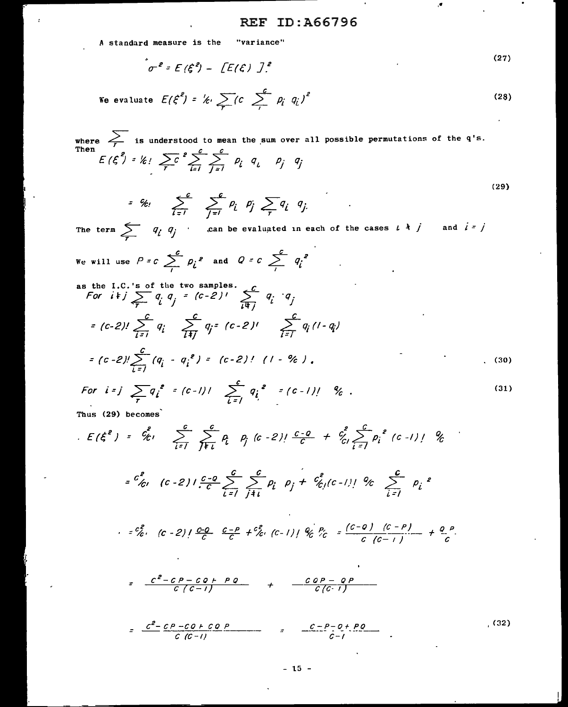A standard measure is the "variance"

$$
\sigma^2 = E(\xi^2) - [E(\xi) ]^2.
$$
 (27)

We evaluate 
$$
E(\xi^2) = \frac{1}{2} \int_C \sum_i (c \sum_i \rho_i q_i)^2
$$
 (28)

where  $\sum_{T}$  is understood to mean the sum over all possible permutations of the q's.<br>Then  $E(\xi^2) = \frac{k!}{T} \sum_{i=1}^{C} \sum_{j=1}^{C} p_i q_i$   $p_j q_j$  $(29)$ 

$$
= g_{\ell}, \sum_{i=1}^c \sum_{j=1}^c p_i p_j \sum_{\tau} q_i q_j
$$

The term  $\sum_{i} q_i q_j$  can be evaluated in each of the cases  $i \dagger j$  and  $i = j$ l,

We will use 
$$
P = c \sum_{i}^{c} p_{i}^{e}
$$
 and  $Q = c \sum_{i}^{c} q_{i}^{e}$ 

s the I.C.'s of the two samples.  
\nFor 
$$
i+j
$$
  $\sum_{\tau} q_i q_j = (c-2)'\sum_{i \neq j} q_i \cdot q_j$   
\n
$$
= (c-2)!\sum_{i=1}^{C} q_i \sum_{i \neq j}^{C} q_i = (c-2)'\sum_{i \neq j}^{C} q_i' \cdot (1-q_i)
$$
  
\n
$$
= (c-2)!\sum_{i=1}^{C} (q_i - q_i^2) = (c-2)!\left(1 - \frac{9}{6}\right), \qquad (30)
$$

For 
$$
i = j
$$
  $\sum_{\tau} q_i^2 = (c - 1)!\sum_{i=1}^{c} q_i^2 = (c - 1)!\sum_{k=1}^{k} q_k$  (31)

Thus (29) becomes

 $\overline{\mathbf{a}}$ 

$$
E(\xi^{e}) = c_{\ell}^{e} \sum_{i=1}^{c} \sum_{j \neq i}^{c} p_{i}^{e} (c-2)! \frac{c-a}{c} + c_{\ell}^{e} \sum_{i=1}^{c} p_{i}^{e} (c-1)! \mathcal{U}
$$
  
\n
$$
= c_{\ell}^{e} \sum_{i=1}^{c} (c-2)! \frac{c-a}{c} \sum_{i=1}^{c} \sum_{j \neq i}^{c} p_{i}^{e} p_{j} + c_{\ell}^{e} (c-1)! \mathcal{U}
$$
  
\n
$$
= c_{\ell}^{e} \sum_{i=1}^{c} (c-2)! \frac{c-a}{c} \sum_{i=1}^{c} \sum_{j \neq i}^{c} p_{i}^{e} p_{j} + c_{\ell}^{e} (c-1)! \mathcal{U}
$$
  
\n
$$
= \frac{c^{e} - c \rho - c a + \rho a}{c (c-1)} + \frac{c a \rho - a \rho}{c (c-1)} + \frac{c}{c} \frac{c - \rho - a \rho}{c (c-1)} + \frac{c}{c} \frac{c^{e} - c \rho - c a + c a \rho}{c (c-1)} + \frac{c a \rho - a \rho}{c (c-1)} - \frac{c^{e} - c \rho - c a + c a \rho}{c (c-1)} - \frac{c - \rho - a + \rho a}{c - 1} - \frac{c - \rho - a + \rho a}{c - 1} - \frac{c}{c} \frac{c}{c} + \frac{c}{c} \frac{c}{c} + \frac{c}{c} \frac{c}{c} + \frac{c}{c} \frac{c}{c} + \frac{c}{c} \frac{c}{c} + \frac{c}{c} \frac{c}{c} + \frac{c}{c} \frac{c}{c} + \frac{c}{c} \frac{c}{c} + \frac{c}{c} \frac{c}{c} + \frac{c}{c} \frac{c}{c} + \frac{c}{c} \frac{c}{c} + \frac{c}{c} \frac{c}{c} + \frac{c}{c} \frac{c}{c} + \frac{c}{c} \frac{c}{c} + \frac{c}{c} \frac{c}{c} + \frac{c}{c} \frac{c}{c} + \frac{c}{c} \frac{c}{c} + \frac{c}{c} \frac{c}{c} +
$$

 $(32)$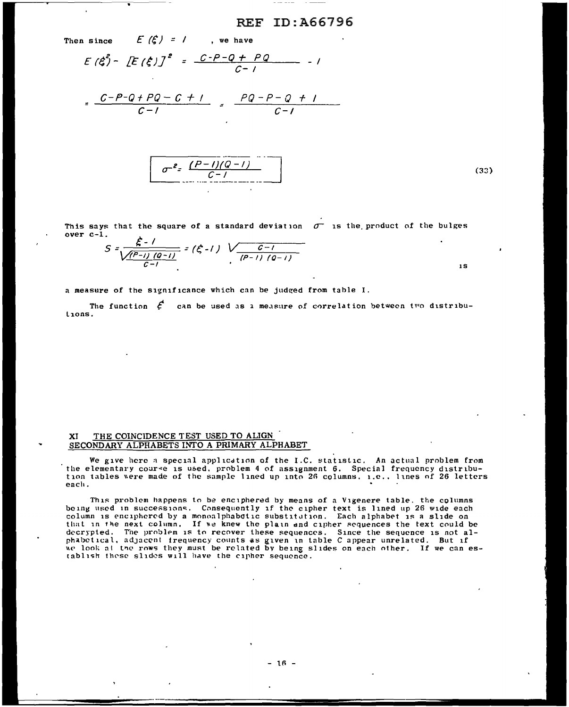Then since  $E(f) = 1$ , we have

$$
E(\xi) - [E(\xi)]^2 = \frac{C - P - Q + PQ}{C - 1} - 1
$$

$$
= \frac{C - P - Q + PQ - C + 1}{C - 1} = \frac{PQ - P - Q + 1}{C - 1}
$$

$$
\sigma^{2} = \frac{(P-1)(Q-1)}{C-1}
$$
 (33)

IS

This says that the square of a standard deviation  $\sigma^-$  is the product of the bulges  $over c-1.$ 

$$
S = \frac{\xi - 1}{\sqrt{\frac{(P-1)(0-1)}{C-1}}} = (\xi - 1) \sqrt{\frac{C-1}{(P-1)(0-1)}}
$$

a measure of the significance which can be judged from table I.

The function  $\xi'$ lions. can be used as a measure of correlation between two distribu-

#### XI THE COINCIDENCE TEST USED TO ALIGN SECONDARY ALPHABETS INTO A PRIMARY ALPHABET

 $\mathbf{r}$ 

We give here a special application of the I.C. statistic. An actual problem from the elementary cour~e is used. problem 4 of assignment 6. Special frequency distribu-<br>tion tables were made of the sample lined up into 26 columns. i.e., lines of 26 letters each.

This problem happens to be enciphered by means of a Vigenere table. the columns being used in successions. Consequently if the cipher text is lined up 26 wide each column is enciphered by a monoalphabetic substitution. Each alphabet is a slide on that in the next column. If we knew the plain and cipher sequences the text could be decrypted. The problem is to recover these sequences. Since the sequence is not alphabetical, adjacent frequency counts as given in table C appear unrelated. But if processed at the rows they must be related by being slides on each other. If we can es-<br>we look at the rows they must be related by being slides on each other. If we can establish these slides will have the cipher sequence.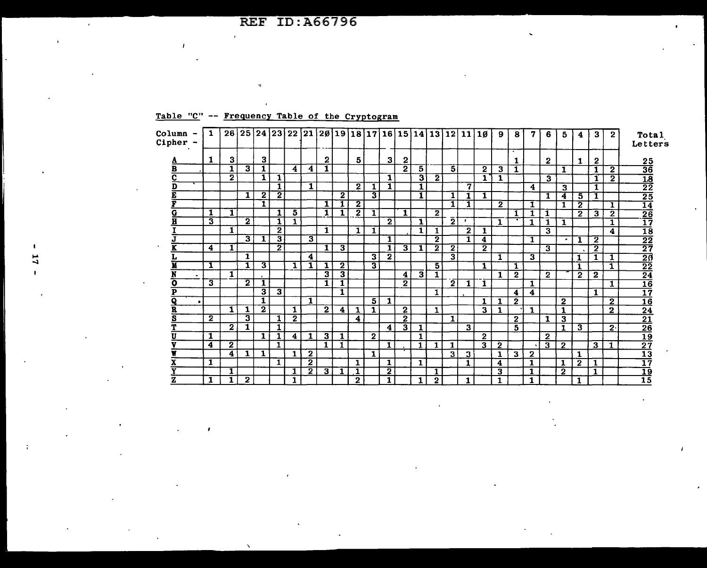| Table "C" -- Frequency Table of the Cryptogram |  |  |
|------------------------------------------------|--|--|
|                                                |  |  |

 $\overline{1}$ 

 $\mathbf{r}$ 

| Column<br>Cipher -      | 1. |                         |                |                         |                         | 26 25 24 23 22 21 28 19 18 17 16 15 14 13 12 11 |              |                         |                         |                |                |                         |                         |    |                         |                         |            | 10                      | 9                       | -8<br>÷        | 7                       | 6            | -5.            | 4              | 3                       | $\mathbf{2}$   | Total<br>Letters                      |
|-------------------------|----|-------------------------|----------------|-------------------------|-------------------------|-------------------------------------------------|--------------|-------------------------|-------------------------|----------------|----------------|-------------------------|-------------------------|----|-------------------------|-------------------------|------------|-------------------------|-------------------------|----------------|-------------------------|--------------|----------------|----------------|-------------------------|----------------|---------------------------------------|
| л                       | 1  | з                       |                | 3                       |                         |                                                 |              | 2                       |                         | 5.             |                | 3                       | $\mathbf{2}$            |    |                         |                         |            |                         |                         | 1              |                         | $\mathbf{2}$ |                | 1              | $\mathbf{2}$            |                |                                       |
| в                       |    | 1                       | 3              | $\mathbf{1}$            |                         | 4                                               | 4            | 1                       |                         |                |                |                         | $\overline{2}$          | 5  |                         | 5                       |            | $\mathbf{2}$            | 3                       | 1              |                         |              | 1              |                | 1                       | $\overline{2}$ | $\frac{25}{36}$                       |
| С                       |    | $\overline{\mathbf{2}}$ |                | 1                       | 1                       |                                                 |              |                         |                         |                |                | 1                       |                         | з  | $\overline{2}$          |                         |            | 1.                      | 1                       |                |                         | 3            |                |                | 1                       | $\overline{2}$ |                                       |
| D                       |    |                         |                |                         | 1                       |                                                 | 1            |                         |                         | $\mathbf{2}$   |                | 1                       |                         | 1  |                         |                         | 7          |                         |                         |                | 4                       |              | 3              |                | 1                       |                | $\frac{18}{22}$                       |
|                         |    |                         | 1              | $\mathbf 2$             | $\overline{\mathbf{2}}$ |                                                 |              |                         | $\overline{\mathbf{2}}$ |                | 31             |                         |                         | 1. |                         | 1                       |            |                         |                         |                |                         | 1            | 4              | 5.             |                         |                | $\overline{25}$                       |
|                         |    |                         |                | $\mathbf{T}$            |                         |                                                 |              | 1                       | 1                       | $\overline{2}$ |                |                         |                         |    |                         | 1                       | 1          |                         | $\mathbf{2}$            |                | 1                       |              | 1              | $\overline{2}$ |                         | 1              |                                       |
| G                       | 1  | 1                       |                |                         | 1                       | 5                                               |              | $\mathbf{1}$            | 1                       | $\overline{2}$ | $\mathbf{1}$   |                         | $\mathbf{1}$            |    | 2                       |                         |            |                         |                         | 1              |                         | 1            |                | $\mathbf{2}$   | 3                       | 2              |                                       |
| Н                       | 3  |                         | $\mathbf{2}$   |                         | 1                       | 1                                               |              |                         |                         |                |                | $\overline{2}$          |                         | 1  |                         | $\overline{\mathbf{2}}$ | $\epsilon$ |                         | 1                       |                | 1                       |              | 1              |                |                         | 1              | $\frac{\overline{14}}{\frac{26}{17}}$ |
|                         |    | 1                       |                |                         | $\mathbf{2}$            |                                                 |              | $\mathbf{1}$            |                         | 1              | 1              |                         |                         | 1  | 1                       |                         | 2          | ı                       |                         |                |                         | 3            |                |                |                         | 4              | $\frac{18}{22}$<br>$\frac{27}{27}$    |
|                         |    |                         | 3              | $\mathbf{1}$            | 3                       |                                                 | 3            |                         |                         |                |                | 1                       |                         |    | $\overline{\mathbf{2}}$ |                         | 1          | 4                       |                         |                | $\mathbf{1}$            |              | ٠              |                | $\overline{\mathbf{2}}$ |                |                                       |
|                         | 4  | 1                       |                |                         | 2                       |                                                 |              | 1                       | 3                       |                |                | 1                       | $\overline{\mathbf{3}}$ | 1  | $\overline{\mathbf{2}}$ | 2                       |            | $\overline{2}$          |                         |                |                         | 3            |                |                | $\overline{2}$          |                |                                       |
|                         |    |                         | 1              |                         |                         |                                                 | 4            |                         |                         |                | 3 <sup>1</sup> | $\overline{\mathbf{2}}$ |                         |    |                         | 3                       |            |                         | 1                       |                | $\overline{\mathbf{3}}$ |              |                | 1              | 1                       | 1              |                                       |
|                         | 1  |                         | 1              | $\overline{\mathbf{3}}$ |                         | 1                                               |              | L                       | 2                       |                | 3              |                         |                         |    | $5\overline{)}$         |                         |            | $\mathbf{1}$            |                         | 1              |                         |              |                |                |                         | 1.             | $\frac{\frac{1}{20}}{\frac{22}{16}}$  |
| $\bullet$               |    | 1                       |                |                         |                         |                                                 |              | 3                       | 3                       |                |                |                         | 4                       | 3  | $\overline{\mathbf{1}}$ |                         |            |                         | 1                       | $\mathbf{2}$   |                         | $\mathbf{2}$ |                | $\mathbf{2}$   | $\mathbf{2}$            |                |                                       |
| ο                       | 3  |                         | $\overline{2}$ | 1                       |                         |                                                 |              | 1                       |                         |                |                |                         | $\mathbf{2}$            |    |                         | $\mathbf{2}$            | 1          | $\mathbf{1}$            |                         |                | 1.                      |              |                |                |                         | 1              |                                       |
| P                       |    |                         |                | $\overline{\mathbf{3}}$ | 3                       |                                                 |              |                         | 1                       |                |                |                         |                         |    | 1                       |                         |            |                         |                         | 4              | 4                       |              |                |                | 1                       |                | $\overline{17}$                       |
| Q<br>$\bullet$          |    |                         |                | 1                       |                         |                                                 | 1            |                         |                         |                | $\overline{5}$ | 1                       |                         |    |                         |                         |            | $\mathbf{1}$            | 1                       | $\mathbf{2}$   |                         |              | $\overline{2}$ |                |                         | $\overline{2}$ | $\overline{16}$                       |
| R                       |    | 1                       | 1              | $\overline{\mathbf{2}}$ |                         | 1                                               |              | $\overline{\mathbf{2}}$ | 4                       | 1              | 1              |                         | $\mathbf 2$             |    | $\mathbf{1}$            |                         |            | 3                       | 1                       |                | 1.                      |              | 1              |                |                         | $\mathbf{2}$   | $\overline{24}$                       |
| $\overline{\mathbf{s}}$ | 2  |                         | 3              |                         |                         | $\mathbf{2}$                                    |              |                         |                         | 4              |                |                         | $\mathbf{2}$            |    |                         | 1                       |            |                         |                         | $\overline{2}$ |                         | 1            | 3              |                |                         |                | $\overline{21}$                       |
|                         |    | $\bf{2}$                | 1              |                         | 1                       |                                                 |              |                         |                         |                |                | 4                       | 3                       |    |                         |                         | 3          |                         |                         | 5.             |                         |              | 1              | 3              |                         | 2 <sup>1</sup> |                                       |
|                         | 1  |                         |                | 1 <sub>1</sub>          | 1                       | 4                                               | 1            | 3                       | 1                       |                | $\mathbf{2}$   |                         |                         | 1  |                         |                         |            | $\mathbf{2}$            |                         |                |                         | $\mathbf{2}$ |                |                |                         |                |                                       |
|                         | 4  | $\mathbf{2}$            |                |                         | 1                       |                                                 |              | $\mathbf 1$             | 1                       |                |                | 1                       |                         | 1  | 1.                      | 1                       |            | $\overline{\mathbf{3}}$ | $\mathbf{2}$            |                |                         | 3            | $\mathbf{2}$   |                | З.                      | 1              | $\frac{26}{19}$<br>$\frac{19}{27}$    |
|                         |    | 4                       | 1              | $\mathbf{1}$            |                         | 1                                               | $\mathbf{2}$ |                         |                         |                | $\mathbf{1}$   |                         |                         |    |                         | 3                       | 3          |                         | 1                       | 3              | $\mathbf{2}$            |              |                | 1              |                         |                | 13                                    |
|                         | 1  |                         |                |                         | 1                       |                                                 | $\mathbf{2}$ |                         |                         | 1              |                | 1                       |                         | 1  |                         |                         | 1          |                         | $\overline{\mathbf{4}}$ |                | 1                       |              | 1              | $\overline{2}$ |                         |                | 17                                    |
|                         |    | 1                       |                |                         |                         | 1                                               | 2            | $\overline{3}$          | 1                       | 1              |                | $\overline{\mathbf{2}}$ |                         |    | 1                       |                         |            |                         | $\overline{\mathbf{3}}$ |                | 1                       |              | $\bf{2}$       |                | 1                       |                | <u> 19</u>                            |
| z                       | 1  |                         | $\mathbf{2}$   |                         |                         |                                                 |              |                         |                         |                |                |                         |                         |    |                         |                         |            |                         |                         |                |                         |              |                |                |                         |                | $\bar{15}$                            |

 $\mathbf{r}$ 

 $\mathbf{r}$ 

×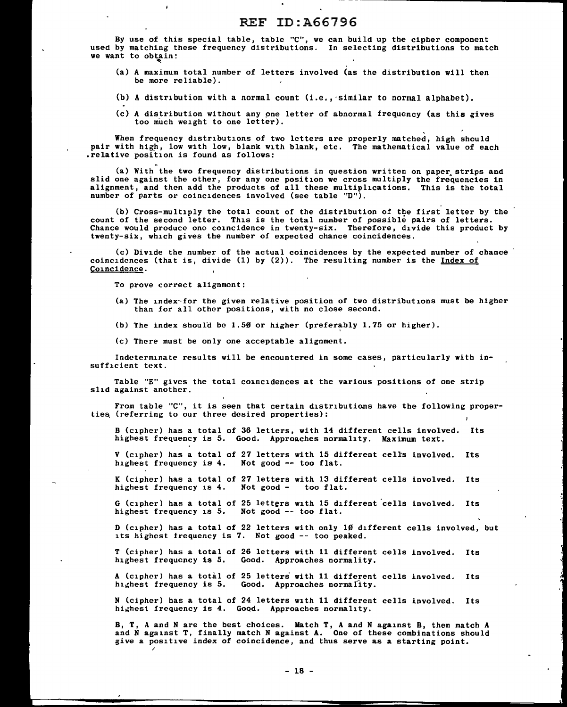By use of this special table, table "C", we can build up the cipher component used by matching these frequency distributions. In selecting distributions to match  $\frac{1}{1}$  we want to obtain:

- (a) A maximum total number of letters involved (as the distribution will then be more reliable).
- (b) A distribution with a normal count (i.e., ·similar to normal alphabet).
- (c) A distribution without any pne letter of abnormal frequency (as this gives too much weight to one letter).

When frequency distributions of two letters are properly matched, high should pair with high, low with low, blank with blank, etc. The mathematical value of each relative position is found as follows:

(a) With the two frequency distributions in question written on paper strips and slid one against the other, for any one position we cross multiply the frequencies in alignment, and then add the products of all these multiplications. This is the total number of parts or coincidences involved (see table ''D").

(b) Cross-multiply the total count of the distribution of the first letter by the count of the second letter. This is the total number of possible pairs of letters. Chance would produce one coincidence in twenty-six. Therefore, divide this product by twenty-six, which gives the number of expected chance coincidences.

(c) Divide the number of the actual coincidences by the expected number of chance coincidences (that is, divide  $(1)$  by  $(2)$ ). The resulting number is the Index of Coincidence.

To prove correct alignment:

 $\lambda$ 

/

(a) The index-for the given relative position of two distributions must be higher than for all other positions, with no close second.

(b) The index should be 1.50 or higher (preferably 1.75 or higher).

(c) There must be only one acceptable alignment.

Indeterminate results will be encountered in some cases, particularly with insufficient text.

Table "E" gives the total coincidences at the various positions of one strip slid against another.

From table "C"', it is seen that certain distributions have the following properties (referring to our three desired properties):

B (cipher) has a total of 36 letters, with 14 different cells involved. Its highest frequency is 5. Good. Approaches normality. Maximum text.

V (cipher) has a total of 27 letters with 15 different cells involved. Its highest frequency is 4. Not good -- too flat.

K (cipher) has a total of 27 letters with 13 different cells involved. Its highest frequency is 4. Not good - too flat. highest frequency is  $4.$  Not good -

G (cipher) has a total of 25 letters with 15 different cells involved. Its highest frequency is 5. Not good -- too flat.

D (cipher) has a total of 22 letters with only 10 different cells involved, but its highest frequency is 7. Not good -- too peaked.

T (cipher) has a total of 26 letters with 11 different cells involved. Its highest frequency is 5. Good. Approaches normality.

A (cipher) has a total of 25 letters with 11 different cells involved. Its highest frequency is 5. Good. Approaches normality.

N (cipher) has a total of 24 letters with 11 different cells involved. Its highest frequency is 4. Good. Approaches normality.

B, T, A and N are the best choices. Match T, A and N against B, then match A and N against T, finally match N against A. One of these combinations should give a positive index of coincidence, and thus serve as a starting point.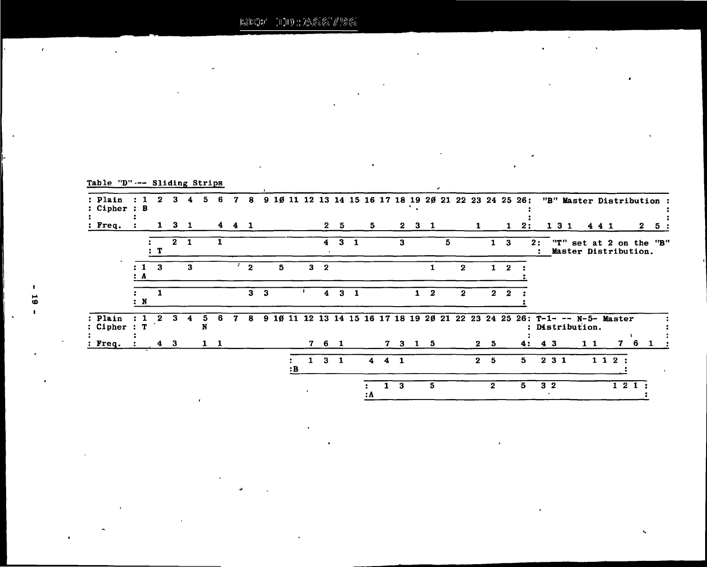$\overline{a}$ 

 $\mathbf{a}$ 

|  | Table "D"--- Sliding Strips |  |
|--|-----------------------------|--|
|  |                             |  |

÷.

 $\hat{\mathbf{v}}$ 

| : Plain<br>: Cipher     | $\cdot$ B               | 2            |              | 4   | 5.     | 6         | 7   | 8  |                |   |    |              |                         |             |              |                         |              |         |                     |              |   |              |              |                |              | 9 10 11 12 13 14 15 16 17 18 19 20 21 22 23 24 25 26:                     |    |                |       |                 |        |      |      | "B" Master Distribution :                   |    |
|-------------------------|-------------------------|--------------|--------------|-----|--------|-----------|-----|----|----------------|---|----|--------------|-------------------------|-------------|--------------|-------------------------|--------------|---------|---------------------|--------------|---|--------------|--------------|----------------|--------------|---------------------------------------------------------------------------|----|----------------|-------|-----------------|--------|------|------|---------------------------------------------|----|
| $: \mathbf{Freq}.$      |                         | $\mathbf{I}$ | -3           | - 1 |        |           | 441 |    |                |   |    |              |                         | 2 5         |              | 5                       |              |         | $2 \quad 3 \quad 1$ |              |   |              | $\mathbf{1}$ |                | $\mathbf{1}$ | 2:                                                                        |    |                | 1 3 1 |                 | 441    |      |      | $\mathbf{2}$                                | 5. |
|                         |                         | : T          | $\mathbf{2}$ | -1  |        |           |     |    |                |   |    |              | $\overline{\mathbf{4}}$ | $\bf{3}$    | $\mathbf{1}$ |                         |              | 3       |                     |              | 5 |              |              | 1              | 3            |                                                                           | 2: |                | יי T" |                 |        |      |      | set at 2 on the "B"<br>Master Distribution. |    |
|                         | $\pm$ 1<br>$\mathbf{A}$ | -3           |              | 3   |        |           |     | -2 |                | 5 |    |              | 3 <sub>2</sub>          |             |              |                         |              |         |                     |              |   | 2            |              | $\mathbf{1}$   | -2           |                                                                           |    |                |       |                 |        |      |      |                                             |    |
|                         | $\mathbf{N}$            |              |              |     |        |           |     |    | 3 <sub>3</sub> |   |    |              | $\overline{4}$          |             | $3 \quad 1$  |                         |              |         | 1.                  | $\mathbf{2}$ |   | $\mathbf{z}$ |              |                | $2\quad 2$   |                                                                           |    |                |       |                 |        |      |      |                                             |    |
| : Plain<br>: Cipher : T |                         |              |              |     | 5<br>N | 6         |     | -8 |                |   |    |              |                         |             |              |                         |              |         |                     |              |   |              |              |                |              | 9 10 11 12 13 14 15 16 17 18 19 20 21 22 23 24 25 26: T-1- -- N-5- Master |    |                |       | : Distribution. |        |      |      |                                             |    |
| : Freq.                 |                         |              | 4 3          |     |        | $1\quad1$ |     |    |                |   |    |              | 7 6 1                   |             |              |                         |              | 7 3 1 5 |                     |              |   |              |              | 2 <sub>5</sub> |              | 4 :                                                                       |    | 43             |       |                 | $1\;1$ |      | 7    | 6.                                          |    |
|                         |                         |              |              |     |        |           |     |    |                |   | :B | $\mathbf{1}$ |                         | $3 \quad 1$ |              | $\overline{\mathbf{4}}$ |              | 4 1     |                     |              |   |              | $\mathbf{2}$ | -5             |              | 5.                                                                        |    | 231            |       |                 |        | 112: |      |                                             |    |
|                         |                         |              |              |     |        |           |     |    |                |   |    |              |                         |             |              | ÷<br>: A                | $\mathbf{1}$ | 3       |                     | 5            |   |              |              | $\mathbf{2}$   |              | 5                                                                         |    | 3 <sub>2</sub> |       |                 |        |      | 121: |                                             |    |

J.

 $\overline{a}$ 

 $\ddot{\phantom{0}}$ 

 $\ddot{\phantom{a}}$ 

 $\mathcal{L}^{\pm}$ 

 $\overline{a}$ 

 $\mathbf{r}$ 

 $\ddot{\phantom{a}}$ 

 $\ddot{\phantom{0}}$ 

 $\cdot$ 

 $\bullet$ 

 $\bar{\mathbf{v}}$ 

 $\mathbf{r}$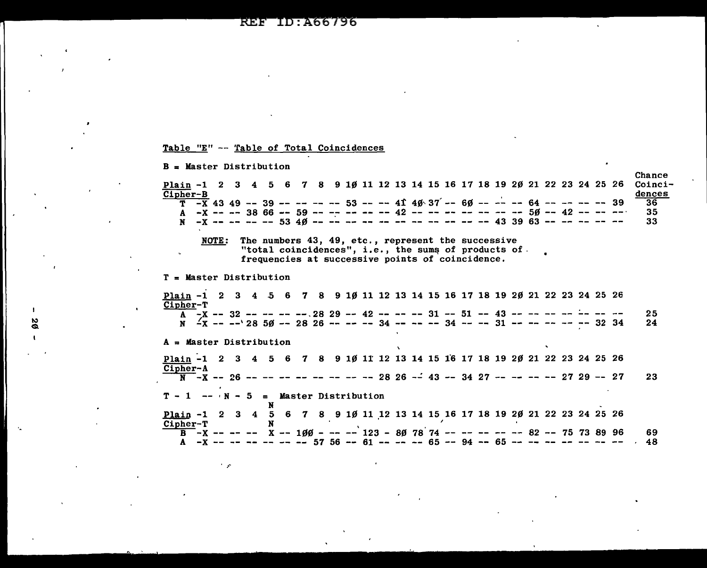ID: A66796 REF

# Table "E" -- Table of Total Coincidences

 $\mathbf{I}$ 88

| $B = Master Distribution$                                                                                    | Chance |  |  |  |  |  |  |  |  |  |  |
|--------------------------------------------------------------------------------------------------------------|--------|--|--|--|--|--|--|--|--|--|--|
| Plain -1 2 3 4 5 6 7 8 9 10 11 12 13 14 15 16 17 18 19 20 21 22 23 24 25 26                                  | Coinci |  |  |  |  |  |  |  |  |  |  |
| Cipher-B                                                                                                     | dences |  |  |  |  |  |  |  |  |  |  |
| $\overline{T}$ -X 43 49 -- 39 -- -- -- -- 53 -- -- 41 4ø 37 -- 6ø -- -- -- 64 -- -- -- -- 39                 | 36     |  |  |  |  |  |  |  |  |  |  |
| A -X -- -- 38 66 -- 59 -- -- -- -- -- 42 -- -- -- -- -- -- -- 50 -- 42 -- -- -- -                            | 35     |  |  |  |  |  |  |  |  |  |  |
| $-X$ -- -- -- -- 53 40 -- -- -- -- -- -- -- -- -- -- -- 43 39 63 -- -- -- -- --<br>N                         | 33     |  |  |  |  |  |  |  |  |  |  |
| The numbers 43, 49, etc., represent the successive<br>NOTE:                                                  |        |  |  |  |  |  |  |  |  |  |  |
| "total coincidences", i.e., the sums of products of.                                                         |        |  |  |  |  |  |  |  |  |  |  |
| $\mathbf{u}$<br>frequencies at successive points of coincidence.                                             |        |  |  |  |  |  |  |  |  |  |  |
|                                                                                                              |        |  |  |  |  |  |  |  |  |  |  |
| $T =$ Master Distribution                                                                                    |        |  |  |  |  |  |  |  |  |  |  |
|                                                                                                              |        |  |  |  |  |  |  |  |  |  |  |
| <u>Plain</u> -1 2 3 4 5 6 7 8 9 10 11 12 13 14 15 16 17 18 19 20 21 22 23 24 25 26<br>Cipher-T               |        |  |  |  |  |  |  |  |  |  |  |
| A $-X$ -- 32 -- -- -- -- $28$ 29 -- 42 -- -- -- 31 -- 51 -- 43 -- -- -- -- -- -- --                          | 25     |  |  |  |  |  |  |  |  |  |  |
| N $\frac{7}{18}$ -- -- $28$ 50 -- 28 26 -- -- -- 34 -- -- -- 34 -- -- 31 -- -- -- -- -- 32 34                | 24     |  |  |  |  |  |  |  |  |  |  |
|                                                                                                              |        |  |  |  |  |  |  |  |  |  |  |
| $A = Master Distribution$                                                                                    |        |  |  |  |  |  |  |  |  |  |  |
| Plain -1 2 3 4 5 6 7 8 9 10 11 12 13 14 15 16 17 18 19 20 21 22 23 24 25 26                                  |        |  |  |  |  |  |  |  |  |  |  |
| Cipher-A                                                                                                     |        |  |  |  |  |  |  |  |  |  |  |
| $\overline{N}$ -X -- 26 -- -- -- -- -- -- -- -- 28 26 -- 43 -- 34 27 -- -- -- -- 27 29 -- 27                 | 23     |  |  |  |  |  |  |  |  |  |  |
|                                                                                                              |        |  |  |  |  |  |  |  |  |  |  |
| $T - 1$ -- $N - 5$ = Master Distribution                                                                     |        |  |  |  |  |  |  |  |  |  |  |
| N<br><u>Plain</u> -1 2 3 4 5 6 7 8 9 10 11 12 13 14 15 16 17 18 19 20 21 22 23 24 25 26                      |        |  |  |  |  |  |  |  |  |  |  |
| Cipher-T                                                                                                     |        |  |  |  |  |  |  |  |  |  |  |
| $\overline{B}$ -X -- -- - X -- 1 $\beta\beta$ - -- -- 123 - 8 $\beta$ 78 74 -- -- -- -- -- 82 -- 75 73 89 96 | 69     |  |  |  |  |  |  |  |  |  |  |
| A -x -- -- -- -- -- -- 57 56 -- 61 -- -- -- 65 -- 94 -- 65 -- -- -- -- -- -- --                              | 48     |  |  |  |  |  |  |  |  |  |  |
|                                                                                                              |        |  |  |  |  |  |  |  |  |  |  |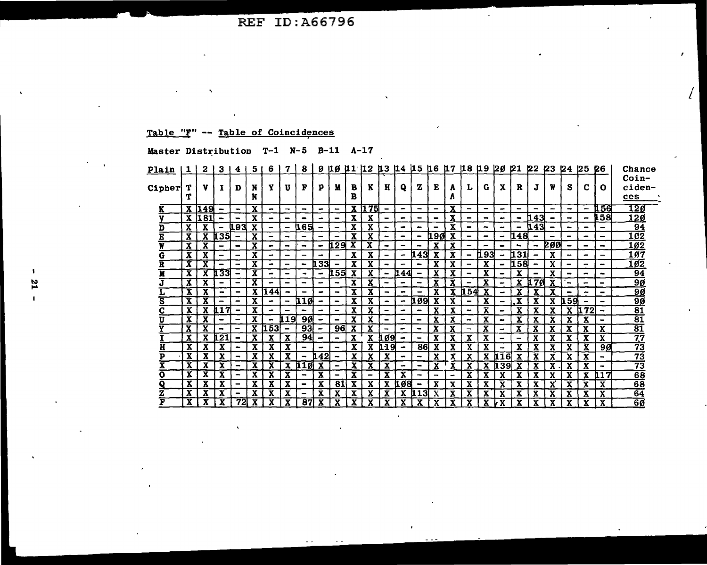# Table "F" -- Table of Coincidences

# Master Distribution T-1 N-5 B-11 A-17

| <u>Plain</u>            | 1            | 2     | 3                        | 4                            | 5            | 6                        |                              | 8                        |                          |                          |              |              |                          |                          |                                                                                                                                                                                               |                          |                         |                              | 9 10 11 12 13 14 15 16 17 18 19 20 21 22                                                                                                          |                                                                                                                                                   |                |                          | <b>23</b>       | 24                           | 25                       | 26                      | Chance          |
|-------------------------|--------------|-------|--------------------------|------------------------------|--------------|--------------------------|------------------------------|--------------------------|--------------------------|--------------------------|--------------|--------------|--------------------------|--------------------------|-----------------------------------------------------------------------------------------------------------------------------------------------------------------------------------------------|--------------------------|-------------------------|------------------------------|---------------------------------------------------------------------------------------------------------------------------------------------------|---------------------------------------------------------------------------------------------------------------------------------------------------|----------------|--------------------------|-----------------|------------------------------|--------------------------|-------------------------|-----------------|
|                         |              |       |                          |                              |              |                          |                              |                          |                          |                          |              |              |                          |                          |                                                                                                                                                                                               |                          |                         |                              |                                                                                                                                                   |                                                                                                                                                   |                |                          |                 |                              |                          |                         | $Coin-$         |
| Cipher                  | т            | v     |                          | D                            | N            | Y                        | U                            | F                        | P                        | М                        | в            | K            | н                        | Q                        | z                                                                                                                                                                                             | Е                        | A                       | т.                           | G                                                                                                                                                 | X                                                                                                                                                 | R              | J                        | W               | S                            | c                        | O                       | ciden-          |
|                         | т            |       |                          |                              | N            |                          |                              |                          |                          |                          | в            |              |                          |                          |                                                                                                                                                                                               |                          | A                       |                              |                                                                                                                                                   |                                                                                                                                                   |                |                          |                 |                              |                          |                         | ces             |
|                         |              | X 149 |                          | $\sim$                       | $\mathbf{x}$ | -                        | $\rightarrow$                | $\blacksquare$           | $\sim$                   | $\overline{\phantom{0}}$ |              | X 175        | $\blacksquare$           | $\sim$                   | $\blacksquare$                                                                                                                                                                                | $\overline{\phantom{0}}$ | $\overline{\mathbf{X}}$ | $\blacksquare$               | $\hskip1.6pt\hskip1.6pt\hskip1.6pt\hskip1.6pt\hskip1.6pt\hskip1.6pt\hskip1.6pt\hskip1.6pt\hskip1.6pt\hskip1.6pt\hskip1.6pt\hskip1.6pt\hskip1.6pt$ | $\tilde{\phantom{a}}$                                                                                                                             | $\blacksquare$ | -                        | $\qquad \qquad$ | $\qquad \qquad$              | $\overline{\phantom{m}}$ | 156                     | <u> 120</u>     |
|                         |              | X 181 |                          | $\qquad \qquad \blacksquare$ | X            | $\blacksquare$           | $\overline{\phantom{0}}$     |                          | -                        | $\blacksquare$           | $\mathbf{x}$ | $\mathbf{x}$ | $\overline{\phantom{0}}$ | $\blacksquare$           | $\hskip1.6pt\hskip1.6pt\hskip1.6pt\hskip1.6pt\hskip1.6pt\hskip1.6pt\hskip1.6pt\hskip1.6pt\hskip1.6pt\hskip1.6pt\hskip1.6pt\hskip1.6pt\hskip1.6pt\hskip1.6pt\hskip1.6pt\hskip1.6pt\hskip1.6pt$ | -                        | x                       | $\overline{\phantom{0}}$     | $\qquad \qquad \blacksquare$                                                                                                                      | $\sim$                                                                                                                                            | $\blacksquare$ | h 43 l                   |                 | $\qquad \qquad$              | $\overline{\phantom{0}}$ | 158                     | <u> 12ø</u>     |
| D                       | x            | x     | $\qquad \qquad$          | 41934                        | X            | ٠                        | $\blacksquare$               | <b>165</b>               | $\blacksquare$           | $\overline{\phantom{0}}$ | X            | X            | $\overline{\phantom{a}}$ | ۰                        | -                                                                                                                                                                                             |                          | x                       | $\overline{\phantom{a}}$     | -                                                                                                                                                 | $\bullet$                                                                                                                                         |                | և 43                     |                 | $\overline{\phantom{a}}$     | $\blacksquare$           | $\blacksquare$          | 94              |
| E                       | X            | x     | <b>135</b>               | $\qquad \qquad$              | X            | -                        | $\rightarrow$                |                          | -                        | -                        | X.           | X            | $\overline{\phantom{a}}$ | -                        | $\tilde{\phantom{a}}$                                                                                                                                                                         | 190                      | x                       |                              | $\overline{\phantom{0}}$                                                                                                                          | $\hskip1.6pt\hskip1.6pt\hskip1.6pt\hskip1.6pt\hskip1.6pt\hskip1.6pt\hskip1.6pt\hskip1.6pt\hskip1.6pt\hskip1.6pt\hskip1.6pt\hskip1.6pt\hskip1.6pt$ | l1481          |                          |                 | $\tilde{\phantom{a}}$        | $\equiv$                 | -                       | 102             |
| W                       | X            | X     |                          | -                            | X            |                          | -                            | $\qquad \qquad$          | $\sim$                   | l1.29 I                  | x            | x            | -                        | -                        |                                                                                                                                                                                               |                          | X                       |                              |                                                                                                                                                   | $\blacksquare$                                                                                                                                    |                | -                        | 200             | $\,$                         | -                        | -                       | 10 <sub>2</sub> |
| G                       | X            | X     |                          | $\blacksquare$               | X            |                          | $\blacksquare$               |                          |                          |                          | X            | X            |                          | $\overline{\phantom{a}}$ | 143                                                                                                                                                                                           | X                        | X                       | $\qquad \qquad \blacksquare$ | !93<br>п                                                                                                                                          | $\bullet$                                                                                                                                         | 131            |                          | X               | $\qquad \qquad$              | $\blacksquare$           | -                       | 1ø7             |
| R                       | х            | X     |                          | -                            | x            | -                        | $\overline{\phantom{0}}$     | $\qquad \qquad$          | 133                      | $\blacksquare$           | X            | X            | -                        |                          | $\qquad \qquad \blacksquare$                                                                                                                                                                  | x                        | x                       | $\rightarrow$                | X                                                                                                                                                 | $\blacksquare$                                                                                                                                    | 11.58 N        | $\blacksquare$           | X               | $\equiv$                     | -                        | $\blacksquare$          | 1ø2             |
| Ĥ                       | x            | X     | 133                      | $\overline{\phantom{0}}$     | X            | $\overline{\phantom{0}}$ | $\overline{\phantom{a}}$     | $\bullet$                | $\tilde{\phantom{a}}$    | 155                      | X            | X            | $\overline{\phantom{a}}$ | 144                      | $\qquad \qquad$                                                                                                                                                                               | X                        | x                       | $\overline{\phantom{a}}$     | X                                                                                                                                                 | $\overline{\phantom{a}}$                                                                                                                          | x              | $\overline{\phantom{a}}$ | x               | $\qquad \qquad$              | -                        | $\sim$                  | 94              |
|                         | X            | x     |                          | $\qquad \qquad \blacksquare$ | x            |                          | $\,$                         | -                        | $\bullet$                | $\overline{\phantom{a}}$ | X.           | X            | -                        | $\blacksquare$           | $\overline{\phantom{a}}$                                                                                                                                                                      | x                        | X                       | $\overline{\phantom{0}}$     | X                                                                                                                                                 | $\sim$                                                                                                                                            | X.             | $\overline{u}$ 70        | X               | $\qquad \qquad \blacksquare$ | $\overline{\phantom{0}}$ | $\blacksquare$          | <u>9Ø</u>       |
|                         | X            | X     | $\overline{\phantom{a}}$ | $\overline{\phantom{0}}$     | x            | 144                      | $\qquad \qquad \blacksquare$ |                          | $\overline{\phantom{a}}$ | $\overline{\phantom{a}}$ | x            | X            | $\overline{\phantom{a}}$ | $\bullet$                |                                                                                                                                                                                               | X                        | X                       | 11.54                        | X                                                                                                                                                 | $\overline{\phantom{0}}$                                                                                                                          | x              | X                        | x               | $\qquad \qquad$              | -                        | $\blacksquare$          | <u>9Ø</u>       |
| $\overline{\mathbf{s}}$ | X            | x     |                          | $\,$                         | X            | -                        | -                            | 11 Ø                     | $\overline{\phantom{0}}$ | $\blacksquare$           | X            | X            |                          | $\sim$                   | 109                                                                                                                                                                                           |                          | x                       | -                            | X                                                                                                                                                 | $\rightarrow$                                                                                                                                     |                | X                        | X               | ኪ59                          |                          |                         | $\overline{90}$ |
| С                       | X            | X     | <b>117</b>               | -                            | X            |                          |                              |                          | -                        | $\blacksquare$           | X            | x            |                          | -                        |                                                                                                                                                                                               |                          | х                       | $\blacksquare$               | Х                                                                                                                                                 |                                                                                                                                                   |                | x                        |                 | X                            | 72                       | -                       | $\overline{81}$ |
| ŢÏ                      | x            | X     |                          | -                            | X            |                          | 119 I                        | 9Ø                       |                          | $\overline{\phantom{0}}$ | X            | X            | $\blacksquare$           | -                        | $\overline{\phantom{0}}$                                                                                                                                                                      | x                        | x                       | $\sim$                       | X                                                                                                                                                 | $\bullet$                                                                                                                                         |                | x                        |                 | X                            | X                        | $\blacksquare$          | $\overline{81}$ |
| v                       | X            | X     |                          | $\overline{\phantom{0}}$     | X            | i 53 I                   | $\blacksquare$               | 93 <sub>l</sub>          | $\tilde{\phantom{a}}$    | 96                       | x            | X            | $\overline{\phantom{0}}$ | $\bullet$                | $\sim$                                                                                                                                                                                        | X                        | x                       | $\overline{\phantom{0}}$     | X                                                                                                                                                 | $\overline{\phantom{a}}$                                                                                                                          | Х              | X                        |                 | X                            | X                        | X.                      | $\overline{81}$ |
|                         | X            | x     | <b>121</b>               | $\overline{\phantom{0}}$     | X            |                          | X                            | 94                       | $\tilde{\phantom{a}}$    | $\blacksquare$           | $\mathbf{x}$ | X            | 109                      | $\overline{\phantom{a}}$ | $\overline{\phantom{a}}$                                                                                                                                                                      | X                        | x                       | X                            | X                                                                                                                                                 | $\overline{\phantom{0}}$                                                                                                                          | -              | X                        | X               | X                            | х                        | X                       | $\overline{77}$ |
| H                       | X            | x     | x                        | -                            | X            | x                        | X                            |                          | $\blacksquare$           | $\rightarrow$            | X            | X            | 119                      | $\blacksquare$           | 86                                                                                                                                                                                            | X                        | x                       | X                            | X                                                                                                                                                 | $\tilde{\phantom{a}}$                                                                                                                             | x              | x                        | x               | x                            | x                        | 9Ø                      | 73              |
| P                       | X            | x     |                          | -                            | х            |                          | X                            |                          | .421                     |                          | x            |              | X                        | -                        | -                                                                                                                                                                                             |                          | X                       | х                            | X                                                                                                                                                 | -16                                                                                                                                               |                | x                        | X               | x                            | x                        | -                       | $\overline{73}$ |
| v                       | $\mathbf{x}$ |       |                          | -                            |              |                          |                              | 110                      | X                        | ٠                        | X            | X            |                          | -                        |                                                                                                                                                                                               | X                        |                         |                              |                                                                                                                                                   | 39                                                                                                                                                |                | X                        |                 |                              | X                        | -                       | $\overline{73}$ |
| O                       | x            | x     |                          | -                            | x            | X                        | x                            |                          | X                        | -                        | x            | -            | X                        | X                        |                                                                                                                                                                                               |                          | -                       | X                            | X                                                                                                                                                 |                                                                                                                                                   |                | X                        |                 | X                            | X                        | 117                     | 68              |
| ۵                       | x            | x     |                          | -                            | X            | x                        | X                            | $\overline{\phantom{0}}$ | X                        | 81                       | X            | x            |                          | Ø8                       | $\blacksquare$                                                                                                                                                                                |                          | x                       | x                            | X                                                                                                                                                 |                                                                                                                                                   |                | X                        |                 | x                            | X                        | $\overline{\mathbf{x}}$ | $\overline{68}$ |
| Z                       | X            | x     |                          | $\qquad \qquad \blacksquare$ | x            | $\overline{\mathbf{x}}$  | X                            | -                        | x                        | X                        | x            | X            |                          | X                        | LL 31                                                                                                                                                                                         |                          | x                       | х                            | X                                                                                                                                                 | X                                                                                                                                                 |                | x                        | Χ               | X                            | Х                        | X                       | 64              |
| F                       | X            | X     | x                        | 72I                          | X            | x                        | x                            | 87                       | X                        | X                        | x            | x            | X                        | X                        | х                                                                                                                                                                                             | X                        | X                       | X                            | X                                                                                                                                                 | ٧X                                                                                                                                                | x              | X                        | X               | X                            | X                        | X                       | 6ø              |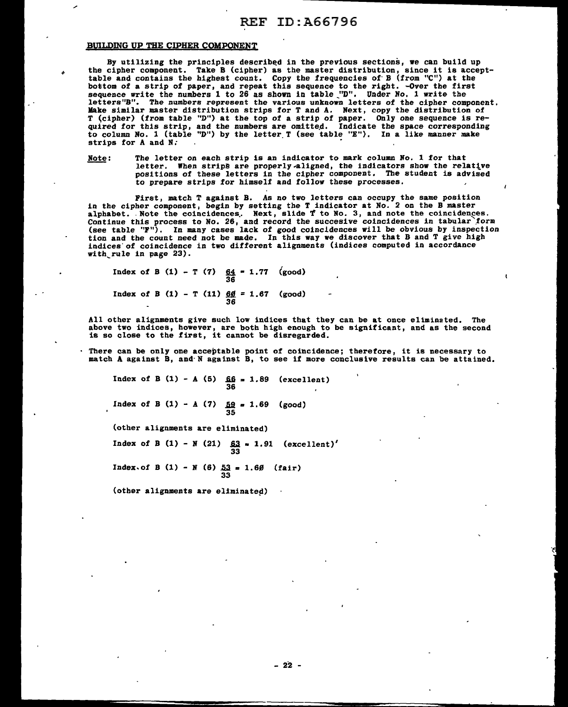### BUILDING UP THE CIPHER COMPONENT

By utilizing the principles described in the previous sections, we can build up the cipher component. Take B (cipher) as the master distribution, since it is accepttable and contains the highest count. Copy the frequencies of· B (from "C") at the bottom of a strip of paper, and repeat this sequence to the right. -Over the first sequence write the numbers 1 to 26 as shown in table \_"D". Under No, 1 write the letters"B". The numbers represent the various unknown letters of the cipher component. Make similar master distribution strips for T and A. Next, copy the distribution of T <cipher) (from table "D") at the top of a strip of paper. Only one sequence is re- quired for this strip, and the numbers are omitte.d. Indicate the space corresponding to column No. 1 (table "D") by the letter. T (see table "E"). In a like manner make strips for A and N.

Note: The letter on each strip is an indicator to mark column No. 1 for that letter. When strips are properly-aligned, the indicators show the relatlve positions of these letters in the cipher component. The student is advised to prepare strips for himself and follow these processes.

First, match T against B. As no two letters can occupy the same position in the cipher component, begin by setting the T indicator at No. 2 on the B master alphabet. Note the coincidences. Next, slide  $f$  to No. 3, and note the coincidences. Continue this process to No. 26, and record the succesive coincidences in tabular form (see table ''F"). In many cases lack of good coincidences will be obvious by inspection tion and the count need not be made. In this way we discover that B and T give high indices of coincidence in two different alignments (indices computed in accordance with\_rule in page 23).

Index of B (1) - T (7)  $64 = 1.77$  (good) 36 Index of B  $(1)$  - T  $(11)$   $\underline{60}$  = 1.67 (good) 36

All other alignments give such low indices that they can be at once eliminated. The above two indices, however, are both high enough to be significant, and as the second is so close to the first, it cannot be disregarded.

There can be only one acceptable point of coincidence; therefore, it is necessary to match A against B, and·N against B, to see if more conclusive results can be attained.

Index of B (1) - A (5)  $\frac{66}{36} = 1.89$  (excellent) Index of B (1) - A (7)  $\frac{59}{35} = 1.69$  (good) Cother alignments are eliminated) Index of B (1) - N (21)  $\frac{63}{33}$  = 1.91 (excellent)'

Index.of B (1) - N (6)  $\frac{53}{33} = 1.69$  (fair)

(other alignments are eliminated)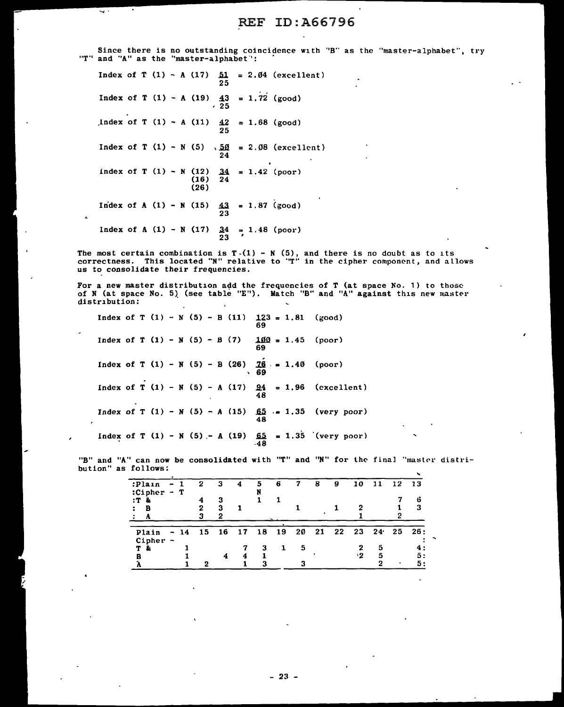Since there is no outstanding coincidence with ''B" as the "master-alphabet", try  $T''$  and  $'A''$  as the "master-alphabet":

Index of T  $(1) - A (17)$   $51 = 2.04$  (excellent) 25 Index of T  $(1) - A (19)$  43 ' 25 1. 72 (good)  $1$ ndex of T (1) - A (11)  $42 = 1.68$  (good) 25 Index of T (1) - N (5) ,  $\underline{50}$  = 2.08 (excellent)  $\overline{24}$ index of T  $(1) - N(12)$   $34 = 1.42$  (poor)  $(16)$  24 (26) Index of A (1) - N (15)  $\frac{43}{23}$  = 1.87 (good) Index of A  $(1) - N (17)$   $\frac{34}{23} = 1.48$  (poor)

ς.

 $\hat{\mathbf{c}}$ 

The most certain combination is  $T-(1) - N(5)$ , and there is no doubt as to its correctness. This located "N" relative to "T" in the cipher component, and allows<br>us to consolidate their *frequencies*.

For a new master distribution add the frequencies of T (at space No. 1) to those of N (at space No. 5) (see table "E"). Match "B" and "A" against this new master distribution:

Index of T  $(1) - N (5) - B (11)$ Index of  $T(1) - N(5) - B(7)$ Index of T  $(1) - N (5) - B (26)$ Index of T (1) - N (5) - A (17)  $\frac{94}{48}$ Index of T (1) - N (5) - A (15)  $65 = 1.35$  (very poor) Index of T (1) - N (5) - A (19) 65<br>48 '  $123 = 1.81$ 69  $100 = 1.45$ 69 *16 .•* 1.40 69 48 1.96 (excellent) 1.35 · (very poor) (good) (poor) (poor)

"B" and "A" can now be consolidated with "T" and "N" for the final "master distri-<br>bution" as follows: bution" as follows:

| -------         |                          |       |    |    |    |    |    |    |      |    |    |                 |         |     |
|-----------------|--------------------------|-------|----|----|----|----|----|----|------|----|----|-----------------|---------|-----|
| :Plain          | $-1$                     |       | 2  | з  | 4  | 5  | 6  |    | 8    | 9  | 10 | 11              | 12 13   |     |
| $:Chapter - T$  |                          |       |    |    |    |    |    |    |      |    |    |                 |         |     |
| :T <sub>k</sub> |                          |       |    | з  |    |    |    |    |      |    |    |                 |         | 6   |
| в               |                          |       | 2  | 3  |    |    |    |    |      |    |    |                 |         | 3   |
| A               |                          |       | 3  | 2  |    |    |    |    |      |    |    |                 |         |     |
|                 |                          |       |    |    |    |    |    |    |      |    |    |                 |         |     |
| Plain           |                          | $-14$ | 15 | 16 | 17 | 18 | 19 | 20 | - 21 | 22 | 23 | 24 <sup>°</sup> | 25      | 26: |
| Cipher          | $\overline{\phantom{a}}$ |       |    |    |    |    |    |    |      |    |    |                 |         |     |
| æ.<br>т         |                          |       |    |    | 7  | з  |    | -5 |      |    | 2  | 5               |         | 4:  |
| в               |                          |       |    | 4  | 4  |    |    |    |      |    | ۰2 | 5               |         | 5:  |
|                 |                          |       | ., |    |    | Ω  |    |    |      |    |    |                 | $\cdot$ | 5:  |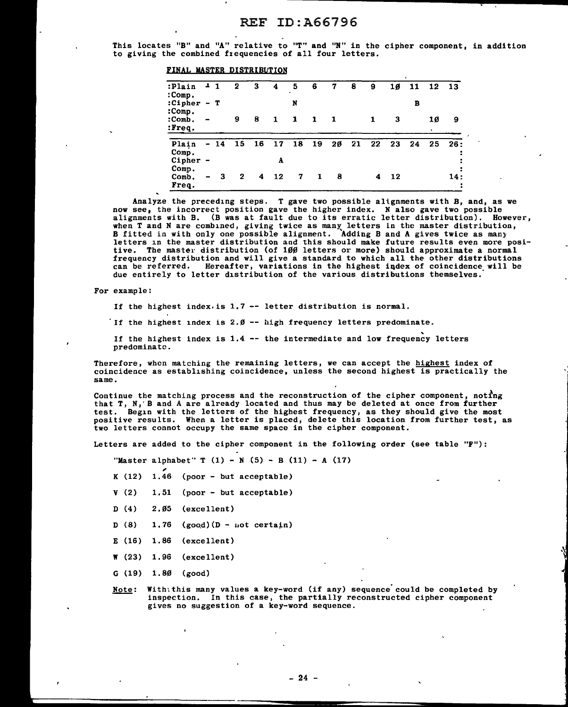This locates "B" and "A" relative to "T'' and "N" in the cipher component, in addition to giving the combined frequencies of all four letters.

| :Plain<br>:Comp.         | $\mathbf{r}$                               | -1  | 2  | 3  | 4       | 5  | 6  | 7  | 8  | 9  | 10 | 11 | 12      | 13        |
|--------------------------|--------------------------------------------|-----|----|----|---------|----|----|----|----|----|----|----|---------|-----------|
| :Cipher<br>:Comp.        |                                            | — т |    |    |         | N  |    |    |    |    |    | в  |         |           |
| :Comb.<br>:Freq.         |                                            |     | 9  | 8  | 1       | 1  | 1  | -1 |    | 1  | з  |    | 10<br>٠ | 9         |
| Plain<br>Comp.<br>Cipher | $\blacksquare$<br>$\overline{\phantom{0}}$ | 14  | 15 | 16 | 17<br>A | 18 | 19 | 20 | 21 | 22 | 23 | 24 | 25      | 26:       |
| Comp.<br>Comb.<br>Freq.  |                                            | 3   | 2  | 4  | 12      | 7  | 1  | 8  |    | 4  | 12 |    |         | 14 :<br>: |

Analyze the preceding steps. T gave two possible alignments with B, and, as we now see, the incorrect position gave the higher index. N also gave two possible alignments with B. (B was at fault due to its erratic letter distribution). However, when T and N are combined, giving twice as many letters in the master distribution, B fitted in with only one possible alignment. Adding B and A gives twice as many letters in the master distribution and this should make future results even more positive. The master distribution (of UJ0 letters or more) should approximate a normal frequency distribution and will give a standard to which all the other distributions can be referred. Hereafter, variations in the highest iqdex of coincidence will be due entirely to letter distribution of the various distributions themselves."

For example:

If the highest index. is 1.7 -- letter distribution is normal.

FINAL MASTER DISTRIBUTION

If the highest index is 2. $\emptyset$  -- high frequency letters predominate.

If the highest index is  $1.4$  -- the intermediate and low frequency letters predominate.

Therefore, when matching the remaining letters, we can accept the highest index of coincidence as establishing coincidence, unless the second highest is practically the same.

Continue the matching process and the reconstruction of the cipher component, noting that T, N, B and A are already located and thus may be deleted at once from further test. Begin with the letters of the highest frequency, as they should give the most positive results. When a letter is placed, delete this location from further test, as two letters connot occupy the same space in the cipher component.

Letters are added to the cipher component in the following order (see table "F"):

"Master alphabet" T  $(1) - N (5) - B (11) - A (17)$ 

- K (12) 1.46 (poor - but acceptable)
- v (2) 1,51 (poor - but acceptable)
- D (4) 2.05 (excellent)
- D (8)  $1.76$  (good)(D - not certain)
- E (16) 1.86 (excellent)
- w (23) 1.96 (excellent)
- G (19) 1.80  $(good)$
- Note: With; this many values a key-word (if any) sequence' could be completed by inspection. In this case, the partially reconstructed cipher component gives no suggestion of a key-word sequence.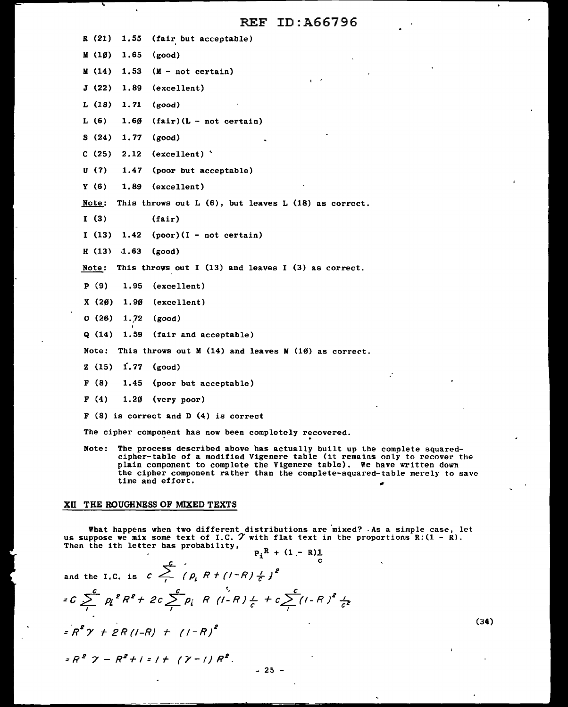|  |   | $R(21)$ 1.55 (fair but acceptable) |
|--|---|------------------------------------|
|  | . |                                    |

- $(10)$  1.65 (good)
- M (14) 1.53 (M not certain)
- J (22) 1.89 (excellent)
- L (18) 1.71 (good)
- L  $(6)$  1.6 $\emptyset$   $(fair)(L not certain)$
- S (24) 1.77 (good)
- C (25) 2.12 (excellent) '
- U (7) 1.47 (poor but acceptable)
- Y (6) 1.89 (excellent)
- Note: This throws out L  $(6)$ , but leaves L  $(18)$  as correct.
- I (3) (fair)
- $I (13) 1.42 (poor) (I not certain)$
- $H (13) 1.63 (good)$

Note: This throws out I (13) and leaves I (3) as correct.

- P (9) 1.95 (excellent)
- $X(20)$  1.90 (excellent)
- O (26) 1.J2 (good)
- Q (14) 1.59 (fair and acceptable)
- Note: This throws out M (14) and leaves M (10) as correct.
- Z (15) i.77 (good)
- F (8) 1.45 (poor but acceptable)
- $F(4)$  1.2 $\emptyset$  (very poor)
- F (8) is correct and D (4) is correct

The cipher component has now been completely recovered.

The cipher component has now been completely recovered.<br>Note: The process described above has actually built up the complete squaredcipher-table of a modified Vigenere table (it remains only to recover the plain component to complete the Vigenere table). We have written down the cipher component rather than the complete-squared-table merely to save time and effort.

### XII THE ROUGHNESS OF MlXED TEXTS

What happens when two different distributions are mixed? -As a simple case, let us suppose we mix some text of I.C.  $\gamma$  with flat text in the proportions R: (1 - R). Then the ith letter has probability,  $\mathbf{r}$ 

$$
P_i^R + (1 - R) \frac{1}{c}
$$

and the I.C. is  $c \sum_{i=1}^{c} (p_i R + (1-R) \frac{1}{c})^2$ 

$$
C \sum_{i=1}^{c} p_{i}^{2} R^{2} + 2c \sum_{i=1}^{c} p_{i} R (1-R) \frac{1}{c} + c \sum_{i=1}^{c} (1-R)^{2} \frac{1}{c^{2}}
$$

$$
=R^2\gamma + 2R(l-R) + (1-R)^2
$$

 $= R^2$   $\gamma - R^2 + 1 = 1 + ( \gamma - 1) R^2$ .

 $- 25 -$ 

(34)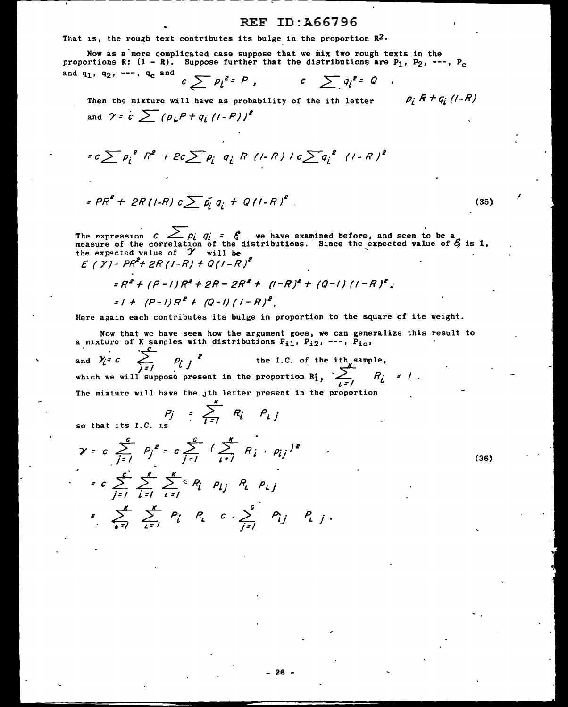That is, the rough text contributes its bulge in the proportion  $\mathbb{R}^2$ .

Now as a more complicated case suppose that we mix two rough texts in the proportions R:  $(1 - R)$ . Suppose further that the distributions are  $P_1$ ,  $P_2$ , ---,  $P_c$ and q<sub>1</sub>, q<sub>2</sub>, ---, q<sub>c</sub> and

$$
c \sum p_i^{e} P, \qquad c \sum q_i^{e} Q
$$

Then the mixture will have as probability of the ith letter  $\rho_i R + q_i$  (/- $R$ ) and  $\gamma$  =  $c \sum (\rho_L R + q_i (1 - R))^2$ 

$$
= c \sum p_i^2 R^2 + 2c \sum p_i q_i R (1 - R) + c \sum q_i^2 (1 - R)^2
$$

$$
= PR^{2} + 2R(1-R) c \sum \tilde{p_{i}} q_{i} + Q(1-R)^{2}
$$
 (35)

The expression  $c$   $\sum_{p_i}$   $q_i$  =  $\zeta$  we have examined before, and seen to be a measure of the correlation of the distributions. Since the expected value of  $\zeta$  is 1, the expected value of  $\gamma$  will be £ *(* Y):: PR'+ 2R ( 1-R) + *Q* (I - R ) 2

$$
=R^{2} + (P-1)R^{2} + 2R - 2R^{2} + (I-R)^{2} + (Q-1) (I-R)^{2}
$$
  

$$
= I + (P-1)R^{2} + (Q-1) (I-R)^{2}
$$

Here again each contributes its bulge in proportion to the square of ite weight.

Now that we have seen how the argument goes, we can gene<br>a mixture of K samples with distributions  $P_{11}$ ,  $P_{12}$ , ---,  $P_{1c}$ , Now that we have seen how the argument goes, we can generalize this result to and  $\gamma_i = c$   $\sum_{i=1}^{c} p_i$   $\gamma_i = c$  $P_{\dot{L}}$   $j$ the I.C. of the ith sample, and  $\gamma_i = c$   $\sum_{j=1}^{\infty}$   $\rho_i$  *j*<sup>2</sup> the I.C. of the which we will suppose present in the proportion  $R_1^*$ , The mixture will have the jth letter present in the proportion  $\sum_{i=1}$   $R_i$  = 1

so that its I.C. is

*p· j* 

'

$$
\gamma = c \sum_{j=1}^{c} P_{j}^{2} = c \sum_{j=1}^{c} \left( \sum_{i=1}^{K} R_{i} \cdot p_{ij} \right)^{2}
$$
  

$$
= c \sum_{j=1}^{c} \sum_{i=1}^{K} \sum_{i=1}^{K} R_{i} p_{ij} R_{i} p_{ij}
$$
  

$$
= \sum_{i=1}^{K} \sum_{i=1}^{K} R_{i} R_{i} c \sum_{j=1}^{c} p_{ij} P_{i}
$$

*K* 

 $\sum_{i=1}^{n} R_i P_{i}$ 

(36)

I